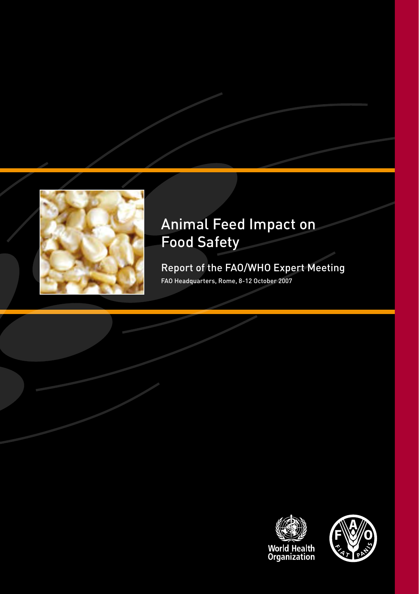

# Animal Feed Impact on Food Safety

Report of the FAO/WHO Expert Meeting FAO Headquarters, Rome, 8-12 October 2007



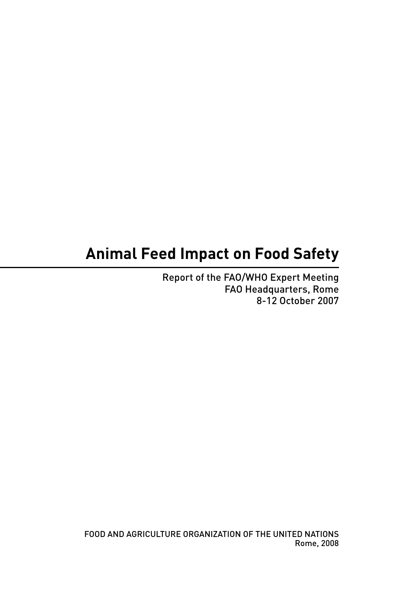# **Animal Feed Impact on Food Safety**

Report of the FAO/WHO Expert Meeting FAO Headquarters, Rome 8-12 October 2007

FOOD AND AGRICULTURE ORGANIZATION OF THE UNITED NATIONS Rome, 2008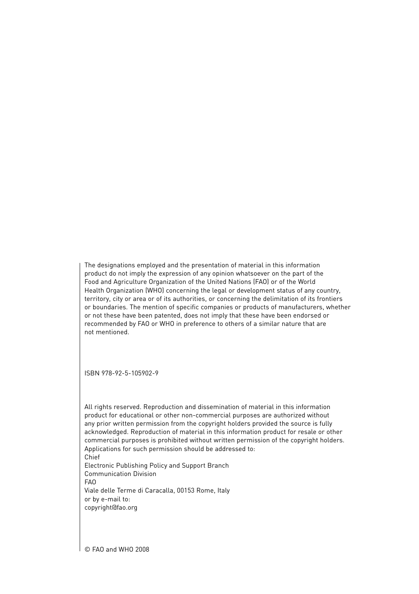The designations employed and the presentation of material in this information product do not imply the expression of any opinion whatsoever on the part of the Food and Agriculture Organization of the United Nations (FAO) or of the World Health Organization (WHO) concerning the legal or development status of any country, territory, city or area or of its authorities, or concerning the delimitation of its frontiers or boundaries. The mention of specific companies or products of manufacturers, whether or not these have been patented, does not imply that these have been endorsed or recommended by FAO or WHO in preference to others of a similar nature that are not mentioned.

ISBN 978-92-5-105902-9

All rights reserved. Reproduction and dissemination of material in this information product for educational or other non-commercial purposes are authorized without any prior written permission from the copyright holders provided the source is fully acknowledged. Reproduction of material in this information product for resale or other commercial purposes is prohibited without written permission of the copyright holders. Applications for such permission should be addressed to: Chief Electronic Publishing Policy and Support Branch Communication Division FAO Viale delle Terme di Caracalla, 00153 Rome, Italy or by e-mail to: copyright@fao.org

© FAO and WHO 2008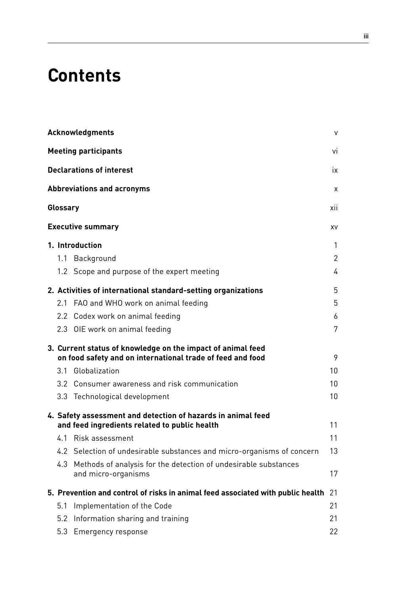# **Contents**

|          | Acknowledgments                                                                                                           | $\vee$          |
|----------|---------------------------------------------------------------------------------------------------------------------------|-----------------|
|          | <b>Meeting participants</b>                                                                                               | vi              |
|          | <b>Declarations of interest</b>                                                                                           | ix              |
|          | <b>Abbreviations and acronyms</b>                                                                                         | x               |
| Glossary |                                                                                                                           | xii             |
|          | <b>Executive summary</b>                                                                                                  | XV              |
|          | 1. Introduction                                                                                                           | 1               |
| 1.1      | Background                                                                                                                | 2               |
|          | 1.2 Scope and purpose of the expert meeting                                                                               | 4               |
|          | 2. Activities of international standard-setting organizations                                                             | 5               |
| 2.1      | FAO and WHO work on animal feeding                                                                                        | 5               |
|          | 2.2 Codex work on animal feeding                                                                                          | 6               |
|          | 2.3 OIE work on animal feeding                                                                                            | 7               |
|          | 3. Current status of knowledge on the impact of animal feed<br>on food safety and on international trade of feed and food | 9               |
|          | 3.1 Globalization                                                                                                         | 10              |
|          | 3.2 Consumer awareness and risk communication                                                                             | 10 <sup>1</sup> |
|          | 3.3 Technological development                                                                                             | 10              |
|          | 4. Safety assessment and detection of hazards in animal feed                                                              |                 |
|          | and feed ingredients related to public health                                                                             | 11              |
|          | 4.1 Risk assessment                                                                                                       | 11              |
|          | 4.2 Selection of undesirable substances and micro-organisms of concern                                                    | 13              |
|          | 4.3 Methods of analysis for the detection of undesirable substances<br>and micro-organisms                                | 17              |
|          | 5. Prevention and control of risks in animal feed associated with public health                                           | 21              |
| 5.1      | Implementation of the Code                                                                                                | 21              |
|          | 5.2 Information sharing and training                                                                                      | 21              |
| 5.3      | Emergency response                                                                                                        | 22              |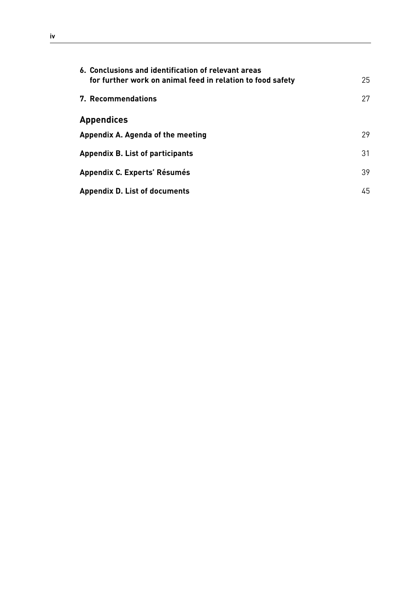| 6. Conclusions and identification of relevant areas<br>for further work on animal feed in relation to food safety | 25 |
|-------------------------------------------------------------------------------------------------------------------|----|
| 7. Recommendations                                                                                                | 27 |
| <b>Appendices</b>                                                                                                 |    |
| Appendix A. Agenda of the meeting                                                                                 | 29 |
| Appendix B. List of participants                                                                                  | 31 |
| Appendix C. Experts' Résumés                                                                                      | 39 |
| <b>Appendix D. List of documents</b>                                                                              | 45 |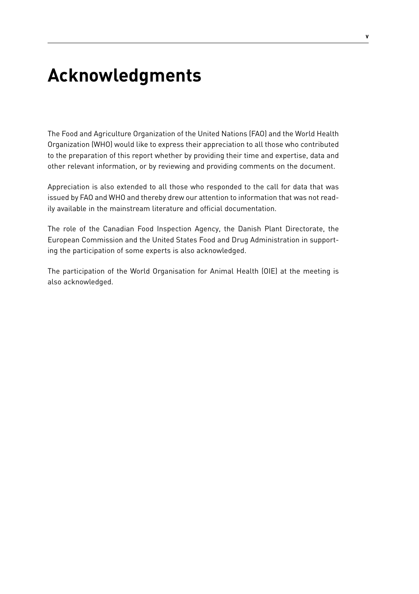# **Acknowledgments**

The Food and Agriculture Organization of the United Nations (FAO) and the World Health Organization (WHO) would like to express their appreciation to all those who contributed to the preparation of this report whether by providing their time and expertise, data and other relevant information, or by reviewing and providing comments on the document.

Appreciation is also extended to all those who responded to the call for data that was issued by FAO and WHO and thereby drew our attention to information that was not readily available in the mainstream literature and official documentation.

The role of the Canadian Food Inspection Agency, the Danish Plant Directorate, the European Commission and the United States Food and Drug Administration in supporting the participation of some experts is also acknowledged.

The participation of the World Organisation for Animal Health (OIE) at the meeting is also acknowledged.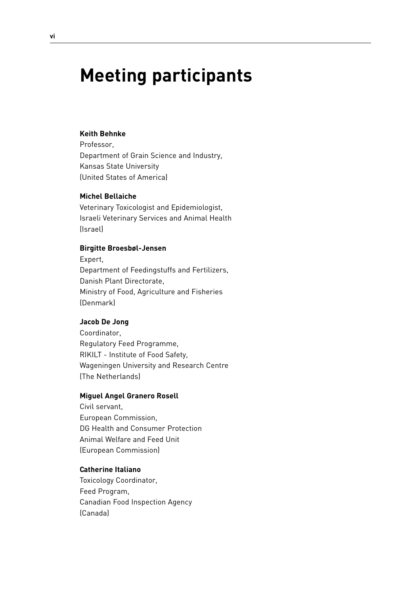# **Meeting participants**

## **Keith Behnke**

Professor, Department of Grain Science and Industry, Kansas State University (United States of America)

#### **Michel Bellaiche**

Veterinary Toxicologist and Epidemiologist, Israeli Veterinary Services and Animal Health (Israel)

#### **Birgitte Broesbøl-Jensen**

Expert, Department of Feedingstuffs and Fertilizers, Danish Plant Directorate, Ministry of Food, Agriculture and Fisheries (Denmark)

#### **Jacob De Jong**

Coordinator, Regulatory Feed Programme, RIKILT - Institute of Food Safety, Wageningen University and Research Centre (The Netherlands)

#### **Miguel Angel Granero Rosell**

Civil servant, European Commission, DG Health and Consumer Protection Animal Welfare and Feed Unit (European Commission)

#### **Catherine Italiano**

Toxicology Coordinator, Feed Program, Canadian Food Inspection Agency (Canada)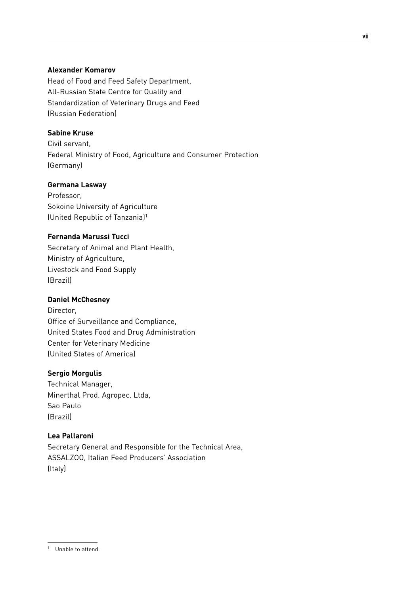## **Alexander Komarov**

Head of Food and Feed Safety Department, All-Russian State Centre for Quality and Standardization of Veterinary Drugs and Feed (Russian Federation)

## **Sabine Kruse**

Civil servant, Federal Ministry of Food, Agriculture and Consumer Protection (Germany)

# **Germana Lasway**

Professor, Sokoine University of Agriculture (United Republic of Tanzania)1

# **Fernanda Marussi Tucci**

Secretary of Animal and Plant Health, Ministry of Agriculture, Livestock and Food Supply (Brazil)

## **Daniel McChesney**

Director, Office of Surveillance and Compliance, United States Food and Drug Administration Center for Veterinary Medicine (United States of America)

## **Sergio Morgulis**

Technical Manager, Minerthal Prod. Agropec. Ltda, Sao Paulo (Brazil)

## **Lea Pallaroni**

Secretary General and Responsible for the Technical Area, ASSALZOO, Italian Feed Producers' Association (Italy)

<sup>1</sup> Unable to attend.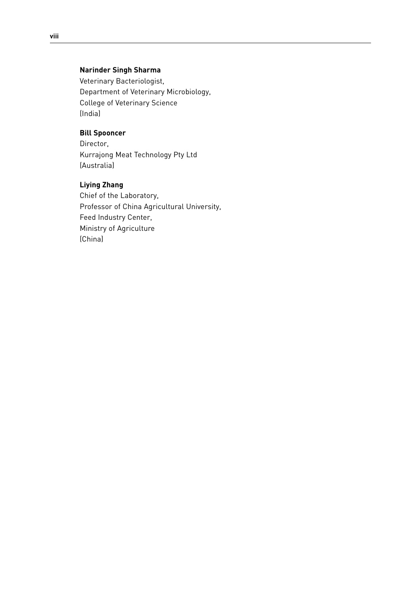# **Narinder Singh Sharma**

Veterinary Bacteriologist, Department of Veterinary Microbiology, College of Veterinary Science (India)

# **Bill Spooncer**

Director, Kurrajong Meat Technology Pty Ltd (Australia)

# **Liying Zhang**

Chief of the Laboratory, Professor of China Agricultural University, Feed Industry Center, Ministry of Agriculture (China)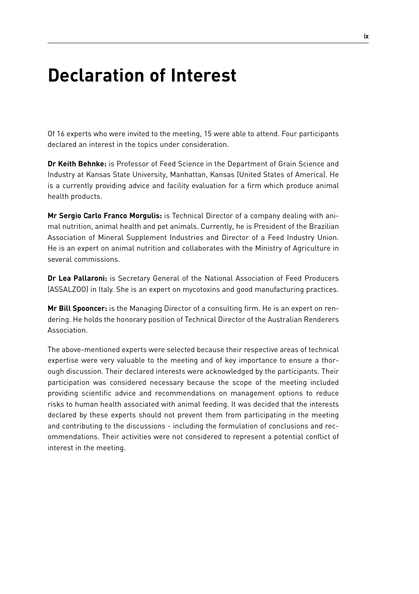# **Declaration of Interest**

Of 16 experts who were invited to the meeting, 15 were able to attend. Four participants declared an interest in the topics under consideration.

**Dr Keith Behnke:** is Professor of Feed Science in the Department of Grain Science and Industry at Kansas State University, Manhattan, Kansas (United States of America). He is a currently providing advice and facility evaluation for a firm which produce animal health products.

**Mr Sergio Carlo Franco Morgulis:** is Technical Director of a company dealing with animal nutrition, animal health and pet animals. Currently, he is President of the Brazilian Association of Mineral Supplement Industries and Director of a Feed Industry Union. He is an expert on animal nutrition and collaborates with the Ministry of Agriculture in several commissions.

**Dr Lea Pallaroni:** is Secretary General of the National Association of Feed Producers (ASSALZOO) in Italy. She is an expert on mycotoxins and good manufacturing practices.

**Mr Bill Spooncer:** is the Managing Director of a consulting firm. He is an expert on rendering. He holds the honorary position of Technical Director of the Australian Renderers Association.

The above-mentioned experts were selected because their respective areas of technical expertise were very valuable to the meeting and of key importance to ensure a thorough discussion. Their declared interests were acknowledged by the participants. Their participation was considered necessary because the scope of the meeting included providing scientific advice and recommendations on management options to reduce risks to human health associated with animal feeding. It was decided that the interests declared by these experts should not prevent them from participating in the meeting and contributing to the discussions - including the formulation of conclusions and recommendations. Their activities were not considered to represent a potential conflict of interest in the meeting.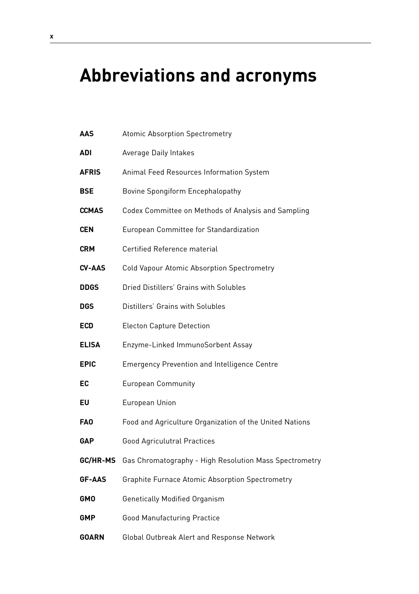# **Abbreviations and acronyms**

| AAS           | <b>Atomic Absorption Spectrometry</b>                   |
|---------------|---------------------------------------------------------|
| ADI           | <b>Average Daily Intakes</b>                            |
| <b>AFRIS</b>  | Animal Feed Resources Information System                |
| BSE           | Bovine Spongiform Encephalopathy                        |
| <b>CCMAS</b>  | Codex Committee on Methods of Analysis and Sampling     |
| <b>CEN</b>    | European Committee for Standardization                  |
| <b>CRM</b>    | <b>Certified Reference material</b>                     |
| CV-AAS        | Cold Vapour Atomic Absorption Spectrometry              |
| <b>DDGS</b>   | Dried Distillers' Grains with Solubles                  |
| <b>DGS</b>    | Distillers' Grains with Solubles                        |
| ECD           | <b>Electon Capture Detection</b>                        |
| <b>ELISA</b>  | Enzyme-Linked ImmunoSorbent Assay                       |
| EPIC          | <b>Emergency Prevention and Intelligence Centre</b>     |
| EC            | <b>European Community</b>                               |
| EU            | European Union                                          |
| FA0           | Food and Agriculture Organization of the United Nations |
| GAP           | <b>Good Agriculutral Practices</b>                      |
| GC/HR-MS      | Gas Chromatography - High Resolution Mass Spectrometry  |
| <b>GF-AAS</b> | <b>Graphite Furnace Atomic Absorption Spectrometry</b>  |
| GMO           | <b>Genetically Modified Organism</b>                    |
| GMP           | <b>Good Manufacturing Practice</b>                      |
| GOARN         | Global Outbreak Alert and Response Network              |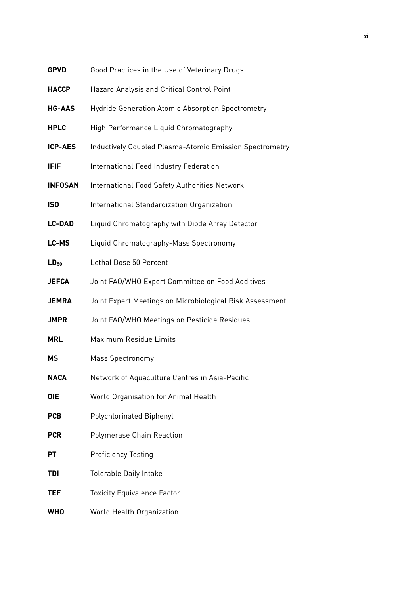| <b>GPVD</b>     | Good Practices in the Use of Veterinary Drugs            |
|-----------------|----------------------------------------------------------|
| <b>HACCP</b>    | Hazard Analysis and Critical Control Point               |
| <b>HG-AAS</b>   | Hydride Generation Atomic Absorption Spectrometry        |
| <b>HPLC</b>     | High Performance Liquid Chromatography                   |
| ICP-AES         | Inductively Coupled Plasma-Atomic Emission Spectrometry  |
| <b>IFIF</b>     | International Feed Industry Federation                   |
| <b>INFOSAN</b>  | International Food Safety Authorities Network            |
| IS <sub>0</sub> | International Standardization Organization               |
| <b>LC-DAD</b>   | Liquid Chromatography with Diode Array Detector          |
| LC-MS           | Liquid Chromatography-Mass Spectronomy                   |
| $LD_{50}$       | Lethal Dose 50 Percent                                   |
| <b>JEFCA</b>    | Joint FAO/WHO Expert Committee on Food Additives         |
| <b>JEMRA</b>    | Joint Expert Meetings on Microbiological Risk Assessment |
| <b>JMPR</b>     | Joint FAO/WHO Meetings on Pesticide Residues             |
| <b>MRL</b>      | Maximum Residue Limits                                   |
| МS              | Mass Spectronomy                                         |
| <b>NACA</b>     | Network of Aquaculture Centres in Asia-Pacific           |
| 0IE             | World Organisation for Animal Health                     |
| <b>PCB</b>      | Polychlorinated Biphenyl                                 |
| <b>PCR</b>      | Polymerase Chain Reaction                                |
| РT              | <b>Proficiency Testing</b>                               |
| <b>TDI</b>      | Tolerable Daily Intake                                   |
| <b>TEF</b>      | <b>Toxicity Equivalence Factor</b>                       |
| <b>WHO</b>      | World Health Organization                                |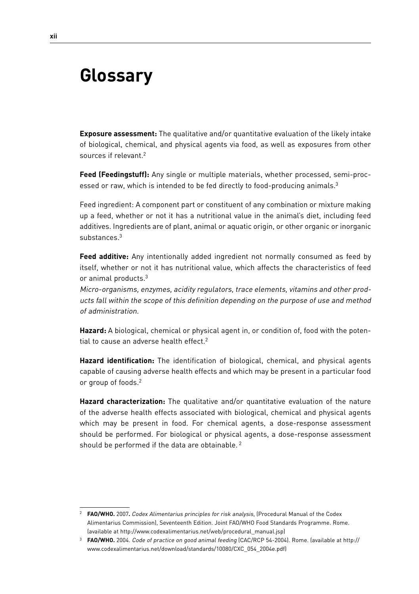# **Glossary**

**Exposure assessment:** The qualitative and/or quantitative evaluation of the likely intake of biological, chemical, and physical agents via food, as well as exposures from other sources if relevant.2

**Feed (Feedingstuff):** Any single or multiple materials, whether processed, semi-processed or raw, which is intended to be fed directly to food-producing animals.<sup>3</sup>

Feed ingredient: A component part or constituent of any combination or mixture making up a feed, whether or not it has a nutritional value in the animal's diet, including feed additives. Ingredients are of plant, animal or aquatic origin, or other organic or inorganic substances.3

**Feed additive:** Any intentionally added ingredient not normally consumed as feed by itself, whether or not it has nutritional value, which affects the characteristics of feed or animal products.3

Micro-organisms, enzymes, acidity regulators, trace elements, vitamins and other products fall within the scope of this definition depending on the purpose of use and method of administration.

**Hazard:** A biological, chemical or physical agent in, or condition of, food with the potential to cause an adverse health effect.2

**Hazard identification:** The identification of biological, chemical, and physical agents capable of causing adverse health effects and which may be present in a particular food or group of foods.2

**Hazard characterization:** The qualitative and/or quantitative evaluation of the nature of the adverse health effects associated with biological, chemical and physical agents which may be present in food. For chemical agents, a dose-response assessment should be performed. For biological or physical agents, a dose-response assessment should be performed if the data are obtainable.<sup>2</sup>

<sup>2</sup> **FAO/WHO.** 2007**.** Codex Alimentarius principles for risk analysis, (Procedural Manual of the Codex Alimentarius Commission), Seventeenth Edition. Joint FAO/WHO Food Standards Programme. Rome. (available at http://www.codexalimentarius.net/web/procedural\_manual.jsp)

<sup>&</sup>lt;sup>3</sup> **FAO/WHO.** 2004. Code of practice on good animal feeding (CAC/RCP 54-2004). Rome. (available at http:// www.codexalimentarius.net/download/standards/10080/CXC\_054\_2004e.pdf)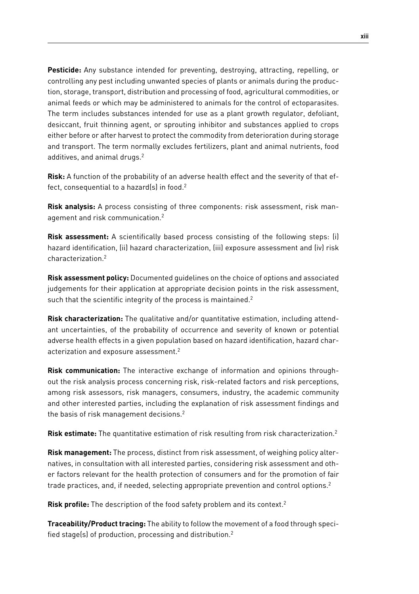**Pesticide:** Any substance intended for preventing, destroying, attracting, repelling, or controlling any pest including unwanted species of plants or animals during the production, storage, transport, distribution and processing of food, agricultural commodities, or animal feeds or which may be administered to animals for the control of ectoparasites. The term includes substances intended for use as a plant growth regulator, defoliant, desiccant, fruit thinning agent, or sprouting inhibitor and substances applied to crops either before or after harvest to protect the commodity from deterioration during storage and transport. The term normally excludes fertilizers, plant and animal nutrients, food additives, and animal drugs.<sup>2</sup>

**Risk:** A function of the probability of an adverse health effect and the severity of that effect, consequential to a hazard(s) in food.<sup>2</sup>

**Risk analysis:** A process consisting of three components: risk assessment, risk management and risk communication.2

**Risk assessment:** A scientifically based process consisting of the following steps: (i) hazard identification, (ii) hazard characterization, (iii) exposure assessment and (iv) risk characterization.2

**Risk assessment policy:** Documented guidelines on the choice of options and associated judgements for their application at appropriate decision points in the risk assessment, such that the scientific integrity of the process is maintained.<sup>2</sup>

**Risk characterization:** The qualitative and/or quantitative estimation, including attendant uncertainties, of the probability of occurrence and severity of known or potential adverse health effects in a given population based on hazard identification, hazard characterization and exposure assessment.2

**Risk communication:** The interactive exchange of information and opinions throughout the risk analysis process concerning risk, risk-related factors and risk perceptions, among risk assessors, risk managers, consumers, industry, the academic community and other interested parties, including the explanation of risk assessment findings and the basis of risk management decisions.2

**Risk estimate:** The quantitative estimation of risk resulting from risk characterization.2

**Risk management:** The process, distinct from risk assessment, of weighing policy alternatives, in consultation with all interested parties, considering risk assessment and other factors relevant for the health protection of consumers and for the promotion of fair trade practices, and, if needed, selecting appropriate prevention and control options.2

**Risk profile:** The description of the food safety problem and its context.2

**Traceability/Product tracing:** The ability to follow the movement of a food through specified stage(s) of production, processing and distribution.2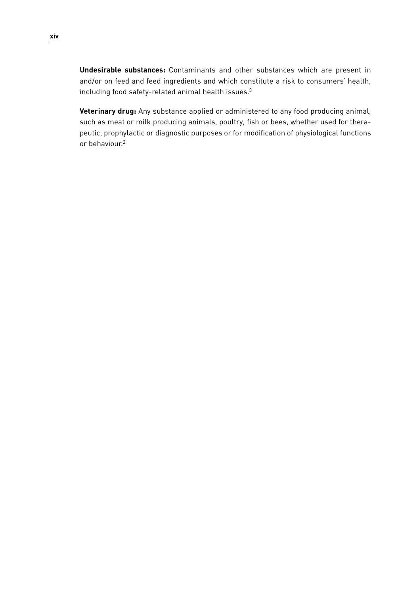**Undesirable substances:** Contaminants and other substances which are present in and/or on feed and feed ingredients and which constitute a risk to consumers' health, including food safety-related animal health issues.3

**Veterinary drug:** Any substance applied or administered to any food producing animal, such as meat or milk producing animals, poultry, fish or bees, whether used for therapeutic, prophylactic or diagnostic purposes or for modification of physiological functions or behaviour.2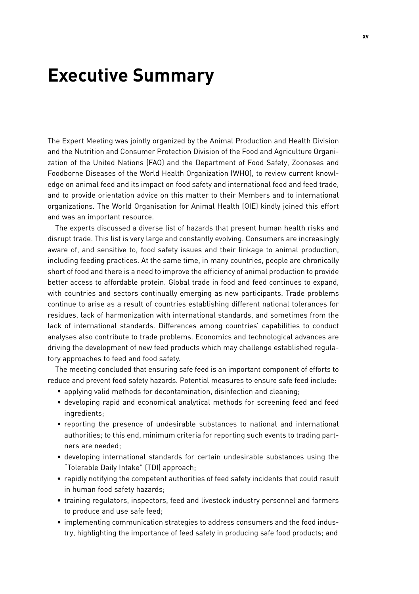# **Executive Summary**

The Expert Meeting was jointly organized by the Animal Production and Health Division and the Nutrition and Consumer Protection Division of the Food and Agriculture Organization of the United Nations (FAO) and the Department of Food Safety, Zoonoses and Foodborne Diseases of the World Health Organization (WHO), to review current knowledge on animal feed and its impact on food safety and international food and feed trade, and to provide orientation advice on this matter to their Members and to international organizations. The World Organisation for Animal Health (OIE) kindly joined this effort and was an important resource.

The experts discussed a diverse list of hazards that present human health risks and disrupt trade. This list is very large and constantly evolving. Consumers are increasingly aware of, and sensitive to, food safety issues and their linkage to animal production, including feeding practices. At the same time, in many countries, people are chronically short of food and there is a need to improve the efficiency of animal production to provide better access to affordable protein. Global trade in food and feed continues to expand, with countries and sectors continually emerging as new participants. Trade problems continue to arise as a result of countries establishing different national tolerances for residues, lack of harmonization with international standards, and sometimes from the lack of international standards. Differences among countries' capabilities to conduct analyses also contribute to trade problems. Economics and technological advances are driving the development of new feed products which may challenge established regulatory approaches to feed and food safety.

The meeting concluded that ensuring safe feed is an important component of efforts to reduce and prevent food safety hazards. Potential measures to ensure safe feed include:

- applying valid methods for decontamination, disinfection and cleaning;
- developing rapid and economical analytical methods for screening feed and feed ingredients;
- reporting the presence of undesirable substances to national and international authorities; to this end, minimum criteria for reporting such events to trading partners are needed;
- developing international standards for certain undesirable substances using the "Tolerable Daily Intake" (TDI) approach;
- rapidly notifying the competent authorities of feed safety incidents that could result in human food safety hazards;
- training regulators, inspectors, feed and livestock industry personnel and farmers to produce and use safe feed;
- implementing communication strategies to address consumers and the food industry, highlighting the importance of feed safety in producing safe food products; and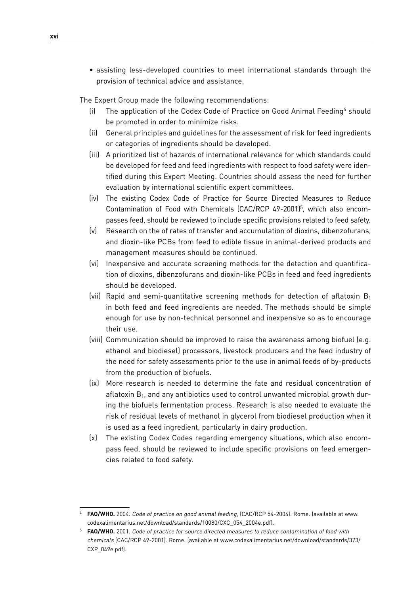• assisting less-developed countries to meet international standards through the provision of technical advice and assistance.

The Expert Group made the following recommendations:

- (i) The application of the Codex Code of Practice on Good Animal Feeding<sup>4</sup> should be promoted in order to minimize risks.
- (ii) General principles and guidelines for the assessment of risk for feed ingredients or categories of ingredients should be developed.
- (iii) A prioritized list of hazards of international relevance for which standards could be developed for feed and feed ingredients with respect to food safety were identified during this Expert Meeting. Countries should assess the need for further evaluation by international scientific expert committees.
- (iv) The existing Codex Code of Practice for Source Directed Measures to Reduce Contamination of Food with Chemicals (CAC/RCP 49-2001)<sup>5</sup>, which also encompasses feed, should be reviewed to include specific provisions related to feed safety.
- (v) Research on the of rates of transfer and accumulation of dioxins, dibenzofurans, and dioxin-like PCBs from feed to edible tissue in animal-derived products and management measures should be continued.
- (vi) Inexpensive and accurate screening methods for the detection and quantification of dioxins, dibenzofurans and dioxin-like PCBs in feed and feed ingredients should be developed.
- (vii) Rapid and semi-quantitative screening methods for detection of aflatoxin  $B_1$ in both feed and feed ingredients are needed. The methods should be simple enough for use by non-technical personnel and inexpensive so as to encourage their use.
- (viii) Communication should be improved to raise the awareness among biofuel (e.g. ethanol and biodiesel) processors, livestock producers and the feed industry of the need for safety assessments prior to the use in animal feeds of by-products from the production of biofuels.
- (ix) More research is needed to determine the fate and residual concentration of aflatoxin  $B_1$ , and any antibiotics used to control unwanted microbial growth during the biofuels fermentation process. Research is also needed to evaluate the risk of residual levels of methanol in glycerol from biodiesel production when it is used as a feed ingredient, particularly in dairy production.
- (x) The existing Codex Codes regarding emergency situations, which also encompass feed, should be reviewed to include specific provisions on feed emergencies related to food safety.

FAO/WHO. 2004. Code of practice on good animal feeding, (CAC/RCP 54-2004). Rome. (available at www. codexalimentarius.net/download/standards/10080/CXC\_054\_2004e.pdf).

<sup>5</sup> **FAO/WHO.** 2001. Code of practice for source directed measures to reduce contamination of food with chemicals (CAC/RCP 49-2001). Rome. (available at www.codexalimentarius.net/download/standards/373/ CXP\_049e.pdf).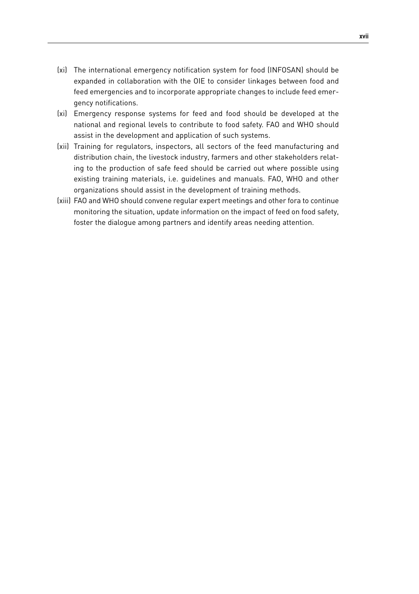- (xi) The international emergency notification system for food (INFOSAN) should be expanded in collaboration with the OIE to consider linkages between food and feed emergencies and to incorporate appropriate changes to include feed emergency notifications.
- (xi) Emergency response systems for feed and food should be developed at the national and regional levels to contribute to food safety. FAO and WHO should assist in the development and application of such systems.
- (xii) Training for regulators, inspectors, all sectors of the feed manufacturing and distribution chain, the livestock industry, farmers and other stakeholders relating to the production of safe feed should be carried out where possible using existing training materials, i.e. guidelines and manuals. FAO, WHO and other organizations should assist in the development of training methods.
- (xiii) FAO and WHO should convene regular expert meetings and other fora to continue monitoring the situation, update information on the impact of feed on food safety, foster the dialogue among partners and identify areas needing attention.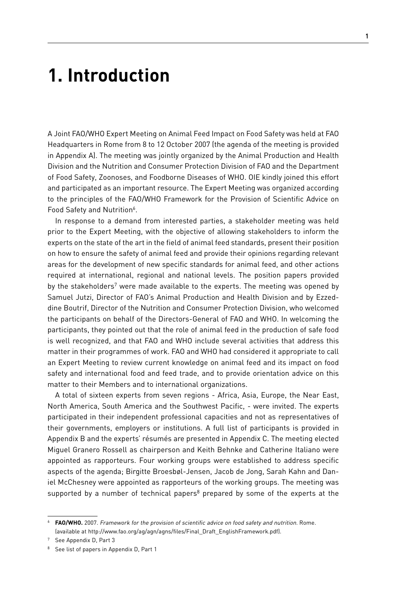# **1. Introduction**

A Joint FAO/WHO Expert Meeting on Animal Feed Impact on Food Safety was held at FAO Headquarters in Rome from 8 to 12 October 2007 (the agenda of the meeting is provided in Appendix A). The meeting was jointly organized by the Animal Production and Health Division and the Nutrition and Consumer Protection Division of FAO and the Department of Food Safety, Zoonoses, and Foodborne Diseases of WHO. OIE kindly joined this effort and participated as an important resource. The Expert Meeting was organized according to the principles of the FAO/WHO Framework for the Provision of Scientific Advice on Food Safety and Nutrition<sup>6</sup>.

In response to a demand from interested parties, a stakeholder meeting was held prior to the Expert Meeting, with the objective of allowing stakeholders to inform the experts on the state of the art in the field of animal feed standards, present their position on how to ensure the safety of animal feed and provide their opinions regarding relevant areas for the development of new specific standards for animal feed, and other actions required at international, regional and national levels. The position papers provided by the stakeholders<sup>7</sup> were made available to the experts. The meeting was opened by Samuel Jutzi, Director of FAO's Animal Production and Health Division and by Ezzeddine Boutrif, Director of the Nutrition and Consumer Protection Division, who welcomed the participants on behalf of the Directors-General of FAO and WHO. In welcoming the participants, they pointed out that the role of animal feed in the production of safe food is well recognized, and that FAO and WHO include several activities that address this matter in their programmes of work. FAO and WHO had considered it appropriate to call an Expert Meeting to review current knowledge on animal feed and its impact on food safety and international food and feed trade, and to provide orientation advice on this matter to their Members and to international organizations.

A total of sixteen experts from seven regions - Africa, Asia, Europe, the Near East, North America, South America and the Southwest Pacific, - were invited. The experts participated in their independent professional capacities and not as representatives of their governments, employers or institutions. A full list of participants is provided in Appendix B and the experts' résumés are presented in Appendix C. The meeting elected Miguel Granero Rossell as chairperson and Keith Behnke and Catherine Italiano were appointed as rapporteurs. Four working groups were established to address specific aspects of the agenda; Birgitte Broesbøl-Jensen, Jacob de Jong, Sarah Kahn and Daniel McChesney were appointed as rapporteurs of the working groups. The meeting was supported by a number of technical papers<sup>8</sup> prepared by some of the experts at the

<sup>6</sup> **FAO/WHO.** 2007. Framework for the provision of scientific advice on food safety and nutrition. Rome. (available at http://www.fao.org/ag/agn/agns/files/Final\_Draft\_EnglishFramework.pdf).

<sup>7</sup> See Appendix D, Part 3

<sup>8</sup> See list of papers in Appendix D, Part 1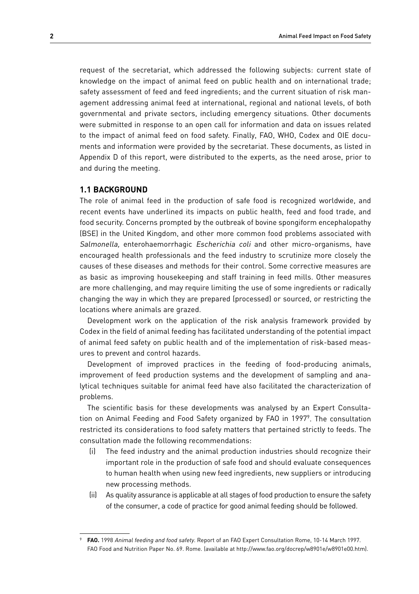request of the secretariat, which addressed the following subjects: current state of knowledge on the impact of animal feed on public health and on international trade; safety assessment of feed and feed ingredients; and the current situation of risk management addressing animal feed at international, regional and national levels, of both governmental and private sectors, including emergency situations. Other documents were submitted in response to an open call for information and data on issues related to the impact of animal feed on food safety. Finally, FAO, WHO, Codex and OIE documents and information were provided by the secretariat. These documents, as listed in Appendix D of this report, were distributed to the experts, as the need arose, prior to and during the meeting.

#### **1.1 Background**

The role of animal feed in the production of safe food is recognized worldwide, and recent events have underlined its impacts on public health, feed and food trade, and food security. Concerns prompted by the outbreak of bovine spongiform encephalopathy (BSE) in the United Kingdom, and other more common food problems associated with Salmonella, enterohaemorrhagic Escherichia coli and other micro-organisms, have encouraged health professionals and the feed industry to scrutinize more closely the causes of these diseases and methods for their control. Some corrective measures are as basic as improving housekeeping and staff training in feed mills. Other measures are more challenging, and may require limiting the use of some ingredients or radically changing the way in which they are prepared (processed) or sourced, or restricting the locations where animals are grazed.

Development work on the application of the risk analysis framework provided by Codex in the field of animal feeding has facilitated understanding of the potential impact of animal feed safety on public health and of the implementation of risk-based measures to prevent and control hazards.

Development of improved practices in the feeding of food-producing animals, improvement of feed production systems and the development of sampling and analytical techniques suitable for animal feed have also facilitated the characterization of problems.

The scientific basis for these developments was analysed by an Expert Consultation on Animal Feeding and Food Safety organized by FAO in 19979. The consultation restricted its considerations to food safety matters that pertained strictly to feeds. The consultation made the following recommendations:

- (i) The feed industry and the animal production industries should recognize their important role in the production of safe food and should evaluate consequences to human health when using new feed ingredients, new suppliers or introducing new processing methods.
- (ii) As quality assurance is applicable at all stages of food production to ensure the safety of the consumer, a code of practice for good animal feeding should be followed.

FAO. 1998 Animal feeding and food safety. Report of an FAO Expert Consultation Rome, 10-14 March 1997. FAO Food and Nutrition Paper No. 69. Rome. (available at http://www.fao.org/docrep/w8901e/w8901e00.htm).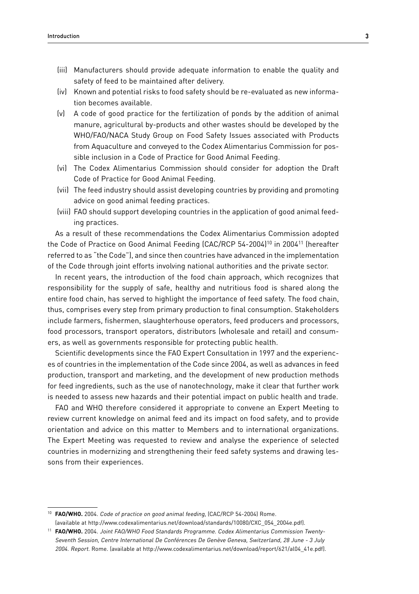- (iii) Manufacturers should provide adequate information to enable the quality and safety of feed to be maintained after delivery.
- (iv) Known and potential risks to food safety should be re-evaluated as new information becomes available.
- (v) A code of good practice for the fertilization of ponds by the addition of animal manure, agricultural by-products and other wastes should be developed by the WHO/FAO/NACA Study Group on Food Safety Issues associated with Products from Aquaculture and conveyed to the Codex Alimentarius Commission for possible inclusion in a Code of Practice for Good Animal Feeding.
- (vi) The Codex Alimentarius Commission should consider for adoption the Draft Code of Practice for Good Animal Feeding.
- (vii) The feed industry should assist developing countries by providing and promoting advice on good animal feeding practices.
- (viii) FAO should support developing countries in the application of good animal feeding practices.

As a result of these recommendations the Codex Alimentarius Commission adopted the Code of Practice on Good Animal Feeding (CAC/RCP 54-2004)<sup>10</sup> in 2004<sup>11</sup> (hereafter referred to as "the Code"), and since then countries have advanced in the implementation of the Code through joint efforts involving national authorities and the private sector.

In recent years, the introduction of the food chain approach, which recognizes that responsibility for the supply of safe, healthy and nutritious food is shared along the entire food chain, has served to highlight the importance of feed safety. The food chain, thus, comprises every step from primary production to final consumption. Stakeholders include farmers, fishermen, slaughterhouse operators, feed producers and processors, food processors, transport operators, distributors (wholesale and retail) and consumers, as well as governments responsible for protecting public health.

Scientific developments since the FAO Expert Consultation in 1997 and the experiences of countries in the implementation of the Code since 2004, as well as advances in feed production, transport and marketing, and the development of new production methods for feed ingredients, such as the use of nanotechnology, make it clear that further work is needed to assess new hazards and their potential impact on public health and trade.

FAO and WHO therefore considered it appropriate to convene an Expert Meeting to review current knowledge on animal feed and its impact on food safety, and to provide orientation and advice on this matter to Members and to international organizations. The Expert Meeting was requested to review and analyse the experience of selected countries in modernizing and strengthening their feed safety systems and drawing lessons from their experiences.

<sup>&</sup>lt;sup>10</sup> **FAO/WHO.** 2004. Code of practice on good animal feeding, (CAC/RCP 54-2004) Rome. (available at http://www.codexalimentarius.net/download/standards/10080/CXC\_054\_2004e.pdf).

<sup>11</sup> **FAO/WHO.** 2004. Joint FAO/WHO Food Standards Programme. Codex Alimentarius Commission Twenty-Seventh Session, Centre International De Conférences De Genève Geneva, Switzerland, 28 June - 3 July 2004. Report. Rome. (available at http://www.codexalimentarius.net/download/report/621/al04\_41e.pdf).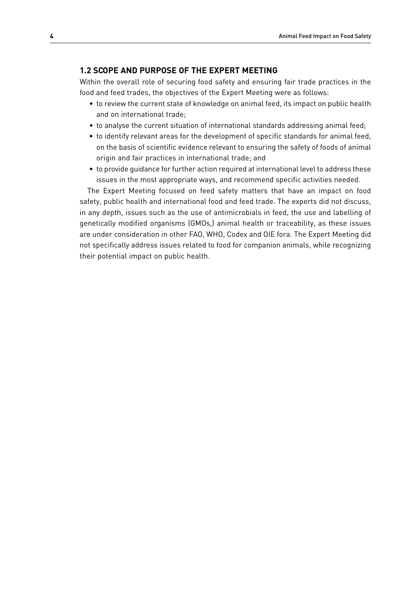### **1.2 Scope and purpose of the Expert Meeting**

Within the overall role of securing food safety and ensuring fair trade practices in the food and feed trades, the objectives of the Expert Meeting were as follows:

- to review the current state of knowledge on animal feed, its impact on public health and on international trade;
- to analyse the current situation of international standards addressing animal feed;
- to identify relevant areas for the development of specific standards for animal feed, on the basis of scientific evidence relevant to ensuring the safety of foods of animal origin and fair practices in international trade; and
- to provide guidance for further action required at international level to address these issues in the most appropriate ways, and recommend specific activities needed.

The Expert Meeting focused on feed safety matters that have an impact on food safety, public health and international food and feed trade. The experts did not discuss, in any depth, issues such as the use of antimicrobials in feed, the use and labelling of genetically modified organisms (GMOs,) animal health or traceability, as these issues are under consideration in other FAO, WHO, Codex and OIE fora. The Expert Meeting did not specifically address issues related to food for companion animals, while recognizing their potential impact on public health.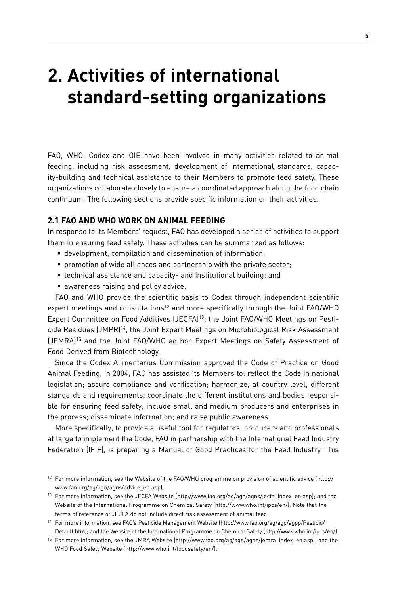# **2. Activities of international standard-setting organizations**

FAO, WHO, Codex and OIE have been involved in many activities related to animal feeding, including risk assessment, development of international standards, capacity-building and technical assistance to their Members to promote feed safety. These organizations collaborate closely to ensure a coordinated approach along the food chain continuum. The following sections provide specific information on their activities.

## **2.1 FAO and WHO work on animal feeding**

In response to its Members' request, FAO has developed a series of activities to support them in ensuring feed safety. These activities can be summarized as follows:

- development, compilation and dissemination of information;
- promotion of wide alliances and partnership with the private sector;
- technical assistance and capacity- and institutional building; and
- awareness raising and policy advice.

FAO and WHO provide the scientific basis to Codex through independent scientific expert meetings and consultations<sup>12</sup> and more specifically through the Joint FAO/WHO Expert Committee on Food Additives (JECFA)13; the Joint FAO/WHO Meetings on Pesticide Residues (JMPR)14, the Joint Expert Meetings on Microbiological Risk Assessment (JEMRA)15 and the Joint FAO/WHO ad hoc Expert Meetings on Safety Assessment of Food Derived from Biotechnology.

Since the Codex Alimentarius Commission approved the Code of Practice on Good Animal Feeding, in 2004, FAO has assisted its Members to: reflect the Code in national legislation; assure compliance and verification; harmonize, at country level, different standards and requirements; coordinate the different institutions and bodies responsible for ensuring feed safety; include small and medium producers and enterprises in the process; disseminate information; and raise public awareness.

More specifically, to provide a useful tool for regulators, producers and professionals at large to implement the Code, FAO in partnership with the International Feed Industry Federation (IFIF), is preparing a Manual of Good Practices for the Feed Industry. This

<sup>12</sup> For more information, see the Website of the FAO/WHO programme on provision of scientific advice (http:// www.fao.org/ag/agn/agns/advice\_en.asp).

<sup>13</sup> For more information, see the JECFA Website (http://www.fao.org/ag/agn/agns/jecfa\_index\_en.asp); and the Website of the International Programme on Chemical Safety (http://www.who.int/ipcs/en/). Note that the terms of reference of JECFA do not include direct risk assessment of animal feed.

<sup>14</sup> For more information, see FAO's Pesticide Management Website (http://www.fao.org/ag/agp/agpp/Pesticid/ Default.htm); and the Website of the International Programme on Chemical Safety (http://www.who.int/ipcs/en/).

<sup>15</sup> For more information, see the JMRA Website (http://www.fao.org/ag/agn/agns/jemra\_index\_en.asp); and the WHO Food Safety Website (http://www.who.int/foodsafety/en/).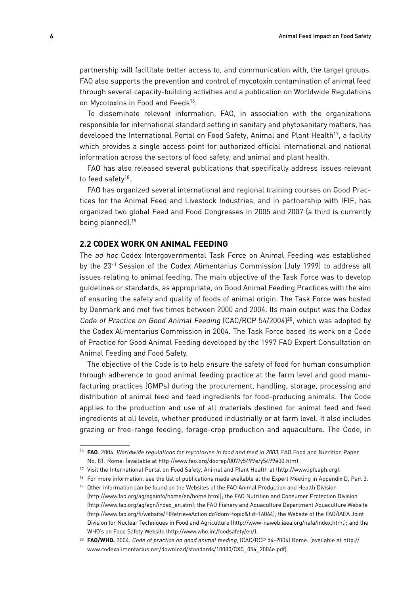partnership will facilitate better access to, and communication with, the target groups. FAO also supports the prevention and control of mycotoxin contamination of animal feed through several capacity-building activities and a publication on Worldwide Regulations on Mycotoxins in Food and Feeds<sup>16</sup>.

To disseminate relevant information, FAO, in association with the organizations responsible for international standard setting in sanitary and phytosanitary matters, has developed the International Portal on Food Safety, Animal and Plant Health<sup>17</sup>, a facility which provides a single access point for authorized official international and national information across the sectors of food safety, and animal and plant health.

FAO has also released several publications that specifically address issues relevant to feed safety<sup>18</sup>.

FAO has organized several international and regional training courses on Good Practices for the Animal Feed and Livestock Industries, and in partnership with IFIF, has organized two global Feed and Food Congresses in 2005 and 2007 (a third is currently being planned).19

#### **2.2 Codex work on animal feeding**

The ad hoc Codex Intergovernmental Task Force on Animal Feeding was established by the 23rd Session of the Codex Alimentarius Commission (July 1999) to address all issues relating to animal feeding. The main objective of the Task Force was to develop guidelines or standards, as appropriate, on Good Animal Feeding Practices with the aim of ensuring the safety and quality of foods of animal origin. The Task Force was hosted by Denmark and met five times between 2000 and 2004. Its main output was the Codex Code of Practice on Good Animal Feeding (CAC/RCP 54/2004)<sup>20</sup>, which was adopted by the Codex Alimentarius Commission in 2004. The Task Force based its work on a Code of Practice for Good Animal Feeding developed by the 1997 FAO Expert Consultation on Animal Feeding and Food Safety.

The objective of the Code is to help ensure the safety of food for human consumption through adherence to good animal feeding practice at the farm level and good manufacturing practices (GMPs) during the procurement, handling, storage, processing and distribution of animal feed and feed ingredients for food-producing animals. The Code applies to the production and use of all materials destined for animal feed and feed ingredients at all levels, whether produced industrially or at farm level. It also includes grazing or free-range feeding, forage-crop production and aquaculture. The Code, in

<sup>&</sup>lt;sup>16</sup> FAO. 2004. Worldwide regulations for mycotoxins in food and feed in 2003. FAO Food and Nutrition Paper No. 81. Rome. (available at http://www.fao.org/docrep/007/y5499e/y5499e00.htm).

<sup>17</sup> Visit the International Portal on Food Safety, Animal and Plant Health at (http://www.ipfsaph.org).

<sup>&</sup>lt;sup>18</sup> For more information, see the list of publications made available at the Expert Meeting in Appendix D, Part 3.

<sup>&</sup>lt;sup>19</sup> Other information can be found on the Websites of the FAO Animal Production and Health Division (http://www.fao.org/ag/againfo/home/en/home.html); the FAO Nutrition and Consumer Protection Division (http://www.fao.org/ag/agn/index\_en.stm); the FAO Fishery and Aquaculture Department Aquaculture Website (http://www.fao.org/fi/website/FIRetrieveAction.do?dom=topic&fid=16064); the Website of the FAO/IAEA Joint Division for Nuclear Techniques in Food and Agriculture (http://www-naweb.iaea.org/nafa/index.html); and the WHO's on Food Safety Website (http://www.who.int/foodsafety/en/).

<sup>&</sup>lt;sup>20</sup> **FAO/WHO.** 2004. Code of practice on good animal feeding, [CAC/RCP 54-2004] Rome. (available at http:// www.codexalimentarius.net/download/standards/10080/CXC\_054\_2004e.pdf).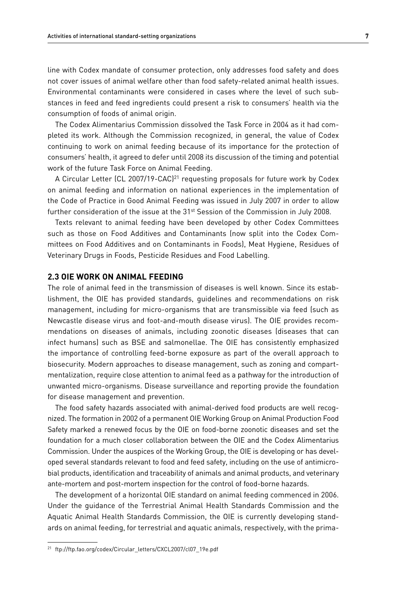line with Codex mandate of consumer protection, only addresses food safety and does not cover issues of animal welfare other than food safety-related animal health issues. Environmental contaminants were considered in cases where the level of such substances in feed and feed ingredients could present a risk to consumers' health via the consumption of foods of animal origin.

The Codex Alimentarius Commission dissolved the Task Force in 2004 as it had completed its work. Although the Commission recognized, in general, the value of Codex continuing to work on animal feeding because of its importance for the protection of consumers' health, it agreed to defer until 2008 its discussion of the timing and potential work of the future Task Force on Animal Feeding.

A Circular Letter (CL 2007/19-CAC)<sup>21</sup> requesting proposals for future work by Codex on animal feeding and information on national experiences in the implementation of the Code of Practice in Good Animal Feeding was issued in July 2007 in order to allow further consideration of the issue at the  $31<sup>st</sup>$  Session of the Commission in July 2008.

Texts relevant to animal feeding have been developed by other Codex Committees such as those on Food Additives and Contaminants (now split into the Codex Committees on Food Additives and on Contaminants in Foods), Meat Hygiene, Residues of Veterinary Drugs in Foods, Pesticide Residues and Food Labelling.

### **2.3 OIE work on animal feeding**

The role of animal feed in the transmission of diseases is well known. Since its establishment, the OIE has provided standards, guidelines and recommendations on risk management, including for micro-organisms that are transmissible via feed (such as Newcastle disease virus and foot-and-mouth disease virus). The OIE provides recommendations on diseases of animals, including zoonotic diseases (diseases that can infect humans) such as BSE and salmonellae. The OIE has consistently emphasized the importance of controlling feed-borne exposure as part of the overall approach to biosecurity. Modern approaches to disease management, such as zoning and compartmentalization, require close attention to animal feed as a pathway for the introduction of unwanted micro-organisms. Disease surveillance and reporting provide the foundation for disease management and prevention.

The food safety hazards associated with animal-derived food products are well recognized. The formation in 2002 of a permanent OIE Working Group on Animal Production Food Safety marked a renewed focus by the OIE on food-borne zoonotic diseases and set the foundation for a much closer collaboration between the OIE and the Codex Alimentarius Commission. Under the auspices of the Working Group, the OIE is developing or has developed several standards relevant to food and feed safety, including on the use of antimicrobial products, identification and traceability of animals and animal products, and veterinary ante-mortem and post-mortem inspection for the control of food-borne hazards.

The development of a horizontal OIE standard on animal feeding commenced in 2006. Under the guidance of the Terrestrial Animal Health Standards Commission and the Aquatic Animal Health Standards Commission, the OIE is currently developing standards on animal feeding, for terrestrial and aquatic animals, respectively, with the prima-

<sup>21</sup> ftp://ftp.fao.org/codex/Circular\_letters/CXCL2007/cl07\_19e.pdf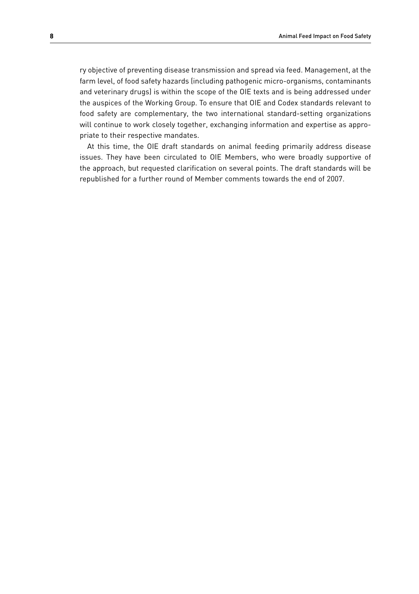ry objective of preventing disease transmission and spread via feed. Management, at the farm level, of food safety hazards (including pathogenic micro-organisms, contaminants and veterinary drugs) is within the scope of the OIE texts and is being addressed under the auspices of the Working Group. To ensure that OIE and Codex standards relevant to food safety are complementary, the two international standard-setting organizations will continue to work closely together, exchanging information and expertise as appropriate to their respective mandates.

At this time, the OIE draft standards on animal feeding primarily address disease issues. They have been circulated to OIE Members, who were broadly supportive of the approach, but requested clarification on several points. The draft standards will be republished for a further round of Member comments towards the end of 2007.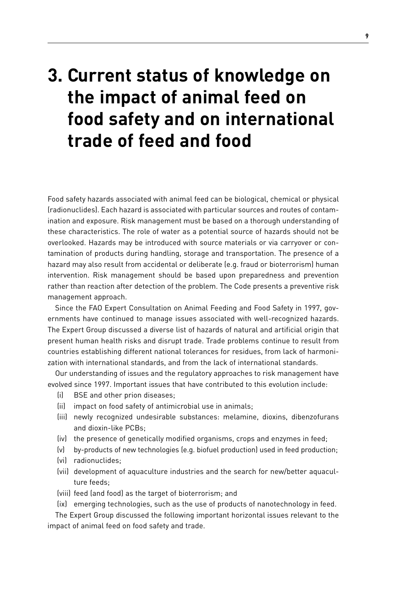# **3. Current status of knowledge on the impact of animal feed on food safety and on international trade of feed and food**

Food safety hazards associated with animal feed can be biological, chemical or physical (radionuclides). Each hazard is associated with particular sources and routes of contamination and exposure. Risk management must be based on a thorough understanding of these characteristics. The role of water as a potential source of hazards should not be overlooked. Hazards may be introduced with source materials or via carryover or contamination of products during handling, storage and transportation. The presence of a hazard may also result from accidental or deliberate (e.g. fraud or bioterrorism) human intervention. Risk management should be based upon preparedness and prevention rather than reaction after detection of the problem. The Code presents a preventive risk management approach.

Since the FAO Expert Consultation on Animal Feeding and Food Safety in 1997, governments have continued to manage issues associated with well-recognized hazards. The Expert Group discussed a diverse list of hazards of natural and artificial origin that present human health risks and disrupt trade. Trade problems continue to result from countries establishing different national tolerances for residues, from lack of harmonization with international standards, and from the lack of international standards.

Our understanding of issues and the regulatory approaches to risk management have evolved since 1997. Important issues that have contributed to this evolution include:

- (i) BSE and other prion diseases;
- (ii) impact on food safety of antimicrobial use in animals;
- (iii) newly recognized undesirable substances: melamine, dioxins, dibenzofurans and dioxin-like PCBs;
- (iv) the presence of genetically modified organisms, crops and enzymes in feed;
- (v) by-products of new technologies (e.g. biofuel production) used in feed production;
- (vi) radionuclides;
- (vii) development of aquaculture industries and the search for new/better aquaculture feeds;
- (viii) feed (and food) as the target of bioterrorism; and
- (ix) emerging technologies, such as the use of products of nanotechnology in feed.

The Expert Group discussed the following important horizontal issues relevant to the impact of animal feed on food safety and trade.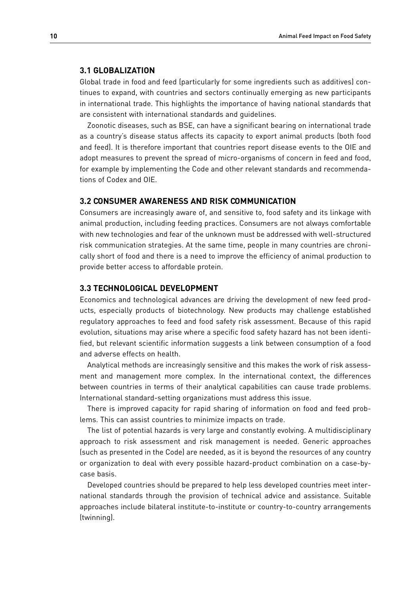#### **3.1 Globalization**

Global trade in food and feed (particularly for some ingredients such as additives) continues to expand, with countries and sectors continually emerging as new participants in international trade. This highlights the importance of having national standards that are consistent with international standards and guidelines.

Zoonotic diseases, such as BSE, can have a significant bearing on international trade as a country's disease status affects its capacity to export animal products (both food and feed). It is therefore important that countries report disease events to the OIE and adopt measures to prevent the spread of micro-organisms of concern in feed and food, for example by implementing the Code and other relevant standards and recommendations of Codex and OIE.

#### **3.2 Consumer awareness and risk communication**

Consumers are increasingly aware of, and sensitive to, food safety and its linkage with animal production, including feeding practices. Consumers are not always comfortable with new technologies and fear of the unknown must be addressed with well-structured risk communication strategies. At the same time, people in many countries are chronically short of food and there is a need to improve the efficiency of animal production to provide better access to affordable protein.

#### **3.3 Technological development**

Economics and technological advances are driving the development of new feed products, especially products of biotechnology. New products may challenge established regulatory approaches to feed and food safety risk assessment. Because of this rapid evolution, situations may arise where a specific food safety hazard has not been identified, but relevant scientific information suggests a link between consumption of a food and adverse effects on health.

Analytical methods are increasingly sensitive and this makes the work of risk assessment and management more complex. In the international context, the differences between countries in terms of their analytical capabilities can cause trade problems. International standard-setting organizations must address this issue.

There is improved capacity for rapid sharing of information on food and feed problems. This can assist countries to minimize impacts on trade.

The list of potential hazards is very large and constantly evolving. A multidisciplinary approach to risk assessment and risk management is needed. Generic approaches (such as presented in the Code) are needed, as it is beyond the resources of any country or organization to deal with every possible hazard-product combination on a case-bycase basis.

Developed countries should be prepared to help less developed countries meet international standards through the provision of technical advice and assistance. Suitable approaches include bilateral institute-to-institute or country-to-country arrangements (twinning).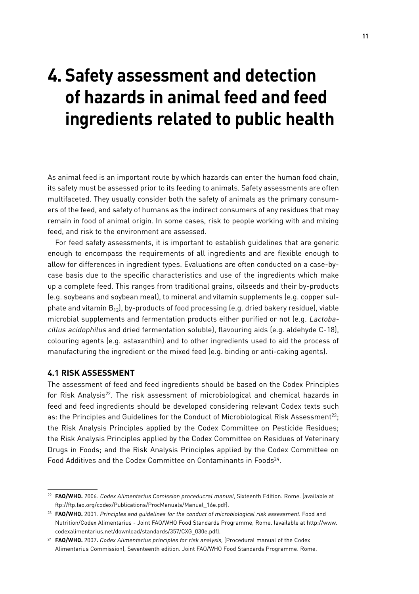# **4. Safety assessment and detection of hazards in animal feed and feed ingredients related to public health**

As animal feed is an important route by which hazards can enter the human food chain, its safety must be assessed prior to its feeding to animals. Safety assessments are often multifaceted. They usually consider both the safety of animals as the primary consumers of the feed, and safety of humans as the indirect consumers of any residues that may remain in food of animal origin. In some cases, risk to people working with and mixing feed, and risk to the environment are assessed.

For feed safety assessments, it is important to establish guidelines that are generic enough to encompass the requirements of all ingredients and are flexible enough to allow for differences in ingredient types. Evaluations are often conducted on a case-bycase basis due to the specific characteristics and use of the ingredients which make up a complete feed. This ranges from traditional grains, oilseeds and their by-products (e.g. soybeans and soybean meal), to mineral and vitamin supplements (e.g. copper sulphate and vitamin  $B_{12}$ ), by-products of food processing (e.g. dried bakery residue), viable microbial supplements and fermentation products either purified or not (e.g. Lactobacillus acidophilus and dried fermentation soluble), flavouring aids (e.g. aldehyde C-18), colouring agents (e.g. astaxanthin) and to other ingredients used to aid the process of manufacturing the ingredient or the mixed feed (e.g. binding or anti-caking agents).

# **4.1 Risk assessment**

The assessment of feed and feed ingredients should be based on the Codex Principles for Risk Analysis<sup>22</sup>. The risk assessment of microbiological and chemical hazards in feed and feed ingredients should be developed considering relevant Codex texts such as: the Principles and Guidelines for the Conduct of Microbiological Risk Assessment<sup>23</sup>; the Risk Analysis Principles applied by the Codex Committee on Pesticide Residues; the Risk Analysis Principles applied by the Codex Committee on Residues of Veterinary Drugs in Foods; and the Risk Analysis Principles applied by the Codex Committee on Food Additives and the Codex Committee on Contaminants in Foods<sup>24</sup>.

<sup>22</sup> **FAO/WHO.** 2006. Codex Alimentarius Comission proceducral manual, Sixteenth Edition. Rome. (available at ftp://ftp.fao.org/codex/Publications/ProcManuals/Manual\_16e.pdf).

<sup>23</sup> **FAO/WHO.** 2001. Principles and guidelines for the conduct of microbiological risk assessment. Food and Nutrition/Codex Alimentarius - Joint FAO/WHO Food Standards Programme, Rome. (available at http://www. codexalimentarius.net/download/standards/357/CXG\_030e.pdf).

<sup>24</sup> **FAO/WHO.** 2007**.** Codex Alimentarius principles for risk analysis, (Procedural manual of the Codex Alimentarius Commission), Seventeenth edition. Joint FAO/WHO Food Standards Programme. Rome.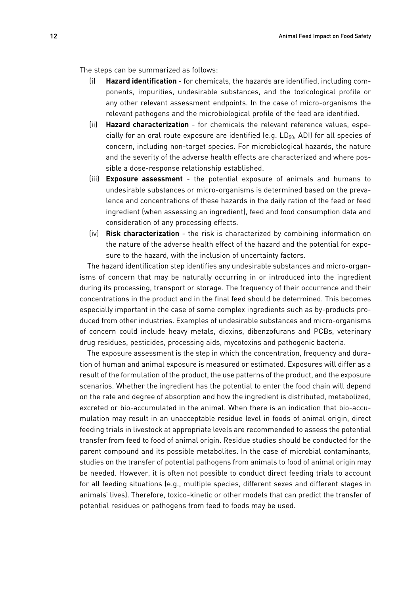The steps can be summarized as follows:

- (i) **Hazard identification** for chemicals, the hazards are identified, including components, impurities, undesirable substances, and the toxicological profile or any other relevant assessment endpoints. In the case of micro-organisms the relevant pathogens and the microbiological profile of the feed are identified.
- (ii) **Hazard characterization** for chemicals the relevant reference values, especially for an oral route exposure are identified (e.g.  $LD_{50}$ , ADI) for all species of concern, including non-target species. For microbiological hazards, the nature and the severity of the adverse health effects are characterized and where possible a dose-response relationship established.
- (iii) **Exposure assessment** the potential exposure of animals and humans to undesirable substances or micro-organisms is determined based on the prevalence and concentrations of these hazards in the daily ration of the feed or feed ingredient (when assessing an ingredient), feed and food consumption data and consideration of any processing effects.
- (iv) **Risk characterization** the risk is characterized by combining information on the nature of the adverse health effect of the hazard and the potential for exposure to the hazard, with the inclusion of uncertainty factors.

The hazard identification step identifies any undesirable substances and micro-organisms of concern that may be naturally occurring in or introduced into the ingredient during its processing, transport or storage. The frequency of their occurrence and their concentrations in the product and in the final feed should be determined. This becomes especially important in the case of some complex ingredients such as by-products produced from other industries. Examples of undesirable substances and micro-organisms of concern could include heavy metals, dioxins, dibenzofurans and PCBs, veterinary drug residues, pesticides, processing aids, mycotoxins and pathogenic bacteria.

The exposure assessment is the step in which the concentration, frequency and duration of human and animal exposure is measured or estimated. Exposures will differ as a result of the formulation of the product, the use patterns of the product, and the exposure scenarios. Whether the ingredient has the potential to enter the food chain will depend on the rate and degree of absorption and how the ingredient is distributed, metabolized, excreted or bio-accumulated in the animal. When there is an indication that bio-accumulation may result in an unacceptable residue level in foods of animal origin, direct feeding trials in livestock at appropriate levels are recommended to assess the potential transfer from feed to food of animal origin. Residue studies should be conducted for the parent compound and its possible metabolites. In the case of microbial contaminants, studies on the transfer of potential pathogens from animals to food of animal origin may be needed. However, it is often not possible to conduct direct feeding trials to account for all feeding situations (e.g., multiple species, different sexes and different stages in animals' lives). Therefore, toxico-kinetic or other models that can predict the transfer of potential residues or pathogens from feed to foods may be used.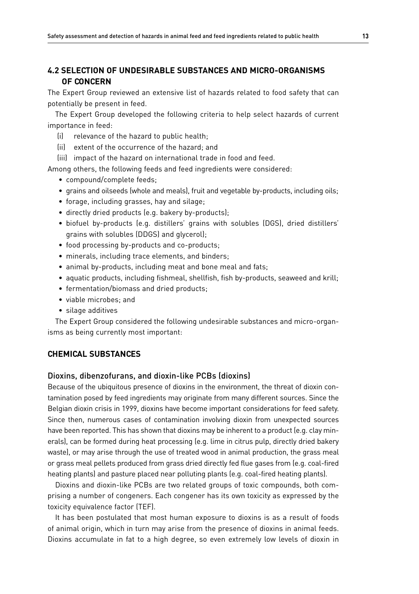# **4.2 Selection of undesirable substances and micro-organisms of concern**

The Expert Group reviewed an extensive list of hazards related to food safety that can potentially be present in feed.

The Expert Group developed the following criteria to help select hazards of current importance in feed:

- (i) relevance of the hazard to public health;
- (ii) extent of the occurrence of the hazard; and
- (iii) impact of the hazard on international trade in food and feed.

Among others, the following feeds and feed ingredients were considered:

- compound/complete feeds;
- grains and oilseeds (whole and meals), fruit and vegetable by-products, including oils;
- forage, including grasses, hay and silage;
- directly dried products (e.g. bakery by-products);
- biofuel by-products (e.g. distillers' grains with solubles (DGS), dried distillers' grains with solubles (DDGS) and glycerol);
- food processing by-products and co-products;
- minerals, including trace elements, and binders;
- animal by-products, including meat and bone meal and fats;
- aquatic products, including fishmeal, shellfish, fish by-products, seaweed and krill;
- fermentation/biomass and dried products;
- viable microbes; and
- silage additives

The Expert Group considered the following undesirable substances and micro-organisms as being currently most important:

## **Chemical substances**

#### Dioxins, dibenzofurans, and dioxin-like PCBs (dioxins)

Because of the ubiquitous presence of dioxins in the environment, the threat of dioxin contamination posed by feed ingredients may originate from many different sources. Since the Belgian dioxin crisis in 1999, dioxins have become important considerations for feed safety. Since then, numerous cases of contamination involving dioxin from unexpected sources have been reported. This has shown that dioxins may be inherent to a product (e.g. clay minerals), can be formed during heat processing (e.g. lime in citrus pulp, directly dried bakery waste), or may arise through the use of treated wood in animal production, the grass meal or grass meal pellets produced from grass dried directly fed flue gases from (e.g. coal-fired heating plants) and pasture placed near polluting plants (e.g. coal-fired heating plants).

Dioxins and dioxin-like PCBs are two related groups of toxic compounds, both comprising a number of congeners. Each congener has its own toxicity as expressed by the toxicity equivalence factor (TEF).

It has been postulated that most human exposure to dioxins is as a result of foods of animal origin, which in turn may arise from the presence of dioxins in animal feeds. Dioxins accumulate in fat to a high degree, so even extremely low levels of dioxin in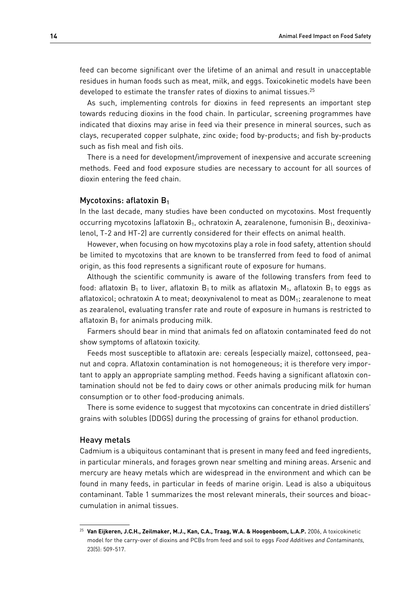feed can become significant over the lifetime of an animal and result in unacceptable residues in human foods such as meat, milk, and eggs. Toxicokinetic models have been developed to estimate the transfer rates of dioxins to animal tissues.<sup>25</sup>

As such, implementing controls for dioxins in feed represents an important step towards reducing dioxins in the food chain. In particular, screening programmes have indicated that dioxins may arise in feed via their presence in mineral sources, such as clays, recuperated copper sulphate, zinc oxide; food by-products; and fish by-products such as fish meal and fish oils.

There is a need for development/improvement of inexpensive and accurate screening methods. Feed and food exposure studies are necessary to account for all sources of dioxin entering the feed chain.

#### Mycotoxins: aflatoxin B<sub>1</sub>

In the last decade, many studies have been conducted on mycotoxins. Most frequently occurring mycotoxins (aflatoxin  $B<sub>1</sub>$ , ochratoxin A, zearalenone, fumonisin  $B<sub>1</sub>$ , deoxinivalenol, T-2 and HT-2) are currently considered for their effects on animal health.

However, when focusing on how mycotoxins play a role in food safety, attention should be limited to mycotoxins that are known to be transferred from feed to food of animal origin, as this food represents a significant route of exposure for humans.

Although the scientific community is aware of the following transfers from feed to food: aflatoxin  $B_1$  to liver, aflatoxin  $B_1$  to milk as aflatoxin  $M_1$ , aflatoxin  $B_1$  to eggs as aflatoxicol; ochratoxin A to meat; deoxynivalenol to meat as  $DOM_1$ ; zearalenone to meat as zearalenol, evaluating transfer rate and route of exposure in humans is restricted to aflatoxin  $B_1$  for animals producing milk.

Farmers should bear in mind that animals fed on aflatoxin contaminated feed do not show symptoms of aflatoxin toxicity.

Feeds most susceptible to aflatoxin are: cereals (especially maize), cottonseed, peanut and copra. Aflatoxin contamination is not homogeneous; it is therefore very important to apply an appropriate sampling method. Feeds having a significant aflatoxin contamination should not be fed to dairy cows or other animals producing milk for human consumption or to other food-producing animals.

There is some evidence to suggest that mycotoxins can concentrate in dried distillers' grains with solubles (DDGS) during the processing of grains for ethanol production.

#### Heavy metals

Cadmium is a ubiquitous contaminant that is present in many feed and feed ingredients, in particular minerals, and forages grown near smelting and mining areas. Arsenic and mercury are heavy metals which are widespread in the environment and which can be found in many feeds, in particular in feeds of marine origin. Lead is also a ubiquitous contaminant. Table 1 summarizes the most relevant minerals, their sources and bioaccumulation in animal tissues.

<sup>25</sup> **Van Eijkeren, J.C.H., Zeilmaker, M.J., Kan, C.A., Traag, W.A. & Hoogenboom, L.A.P.** 2006, A toxicokinetic model for the carry-over of dioxins and PCBs from feed and soil to eggs Food Additives and Contaminants, 23(5): 509-517.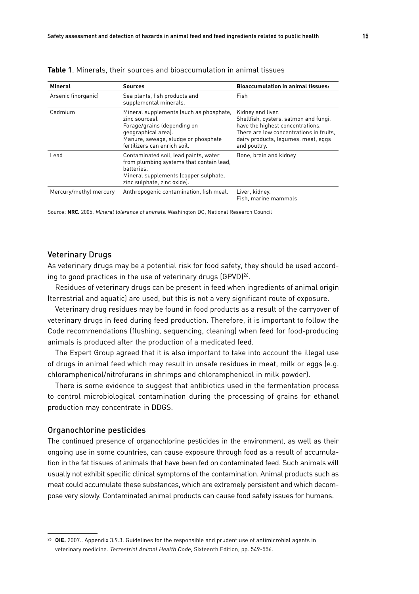| Mineral                | Sources                                                                                                                                                                                | <b>Bioaccumulation in animal tissues:</b>                                                                                                                                                        |  |
|------------------------|----------------------------------------------------------------------------------------------------------------------------------------------------------------------------------------|--------------------------------------------------------------------------------------------------------------------------------------------------------------------------------------------------|--|
| Arsenic (inorganic)    | Sea plants, fish products and<br>supplemental minerals.                                                                                                                                | Fish                                                                                                                                                                                             |  |
| Cadmium                | Mineral supplements (such as phosphate,<br>zinc sources).<br>Forage/grains (depending on<br>geographical area).<br>Manure, sewage, sludge or phosphate<br>fertilizers can enrich soil. | Kidney and liver.<br>Shellfish, oysters, salmon and fungi,<br>have the highest concentrations.<br>There are low concentrations in fruits,<br>dairy products, legumes, meat, eggs<br>and poultry. |  |
| Lead                   | Contaminated soil, lead paints, water<br>from plumbing systems that contain lead,<br>batteries.<br>Mineral supplements (copper sulphate,<br>zinc sulphate, zinc oxide).                | Bone, brain and kidney                                                                                                                                                                           |  |
| Mercury/methyl mercury | Anthropogenic contamination, fish meal.                                                                                                                                                | Liver, kidney.<br>Fish, marine mammals                                                                                                                                                           |  |

| <b>Table 1</b> . Minerals, their sources and bioaccumulation in animal tissues |  |  |  |
|--------------------------------------------------------------------------------|--|--|--|
|--------------------------------------------------------------------------------|--|--|--|

Source: **NRC.** 2005. Mineral tolerance of animals. Washington DC, National Research Council

#### Veterinary Drugs

As veterinary drugs may be a potential risk for food safety, they should be used according to good practices in the use of veterinary drugs (GPVD)<sup>26</sup>.

Residues of veterinary drugs can be present in feed when ingredients of animal origin (terrestrial and aquatic) are used, but this is not a very significant route of exposure.

Veterinary drug residues may be found in food products as a result of the carryover of veterinary drugs in feed during feed production. Therefore, it is important to follow the Code recommendations (flushing, sequencing, cleaning) when feed for food-producing animals is produced after the production of a medicated feed.

The Expert Group agreed that it is also important to take into account the illegal use of drugs in animal feed which may result in unsafe residues in meat, milk or eggs (e.g. chloramphenicol/nitrofurans in shrimps and chloramphenicol in milk powder).

There is some evidence to suggest that antibiotics used in the fermentation process to control microbiological contamination during the processing of grains for ethanol production may concentrate in DDGS.

#### Organochlorine pesticides

The continued presence of organochlorine pesticides in the environment, as well as their ongoing use in some countries, can cause exposure through food as a result of accumulation in the fat tissues of animals that have been fed on contaminated feed. Such animals will usually not exhibit specific clinical symptoms of the contamination. Animal products such as meat could accumulate these substances, which are extremely persistent and which decompose very slowly. Contaminated animal products can cause food safety issues for humans.

<sup>26</sup> **OIE.** 2007.. Appendix 3.9.3. Guidelines for the responsible and prudent use of antimicrobial agents in veterinary medicine. Terrestrial Animal Health Code, Sixteenth Edition, pp. 549-556.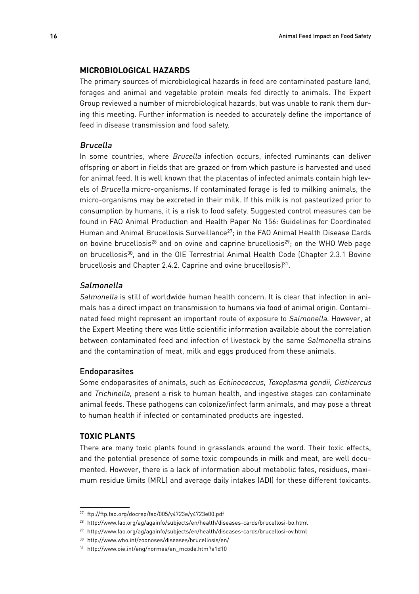#### **Microbiological hazards**

The primary sources of microbiological hazards in feed are contaminated pasture land, forages and animal and vegetable protein meals fed directly to animals. The Expert Group reviewed a number of microbiological hazards, but was unable to rank them during this meeting. Further information is needed to accurately define the importance of feed in disease transmission and food safety.

#### Brucella

In some countries, where *Brucella* infection occurs, infected ruminants can deliver offspring or abort in fields that are grazed or from which pasture is harvested and used for animal feed. It is well known that the placentas of infected animals contain high levels of Brucella micro-organisms. If contaminated forage is fed to milking animals, the micro-organisms may be excreted in their milk. If this milk is not pasteurized prior to consumption by humans, it is a risk to food safety. Suggested control measures can be found in FAO Animal Production and Health Paper No 156: Guidelines for Coordinated Human and Animal Brucellosis Surveillance<sup>27</sup>; in the FAO Animal Health Disease Cards on bovine brucellosis<sup>28</sup> and on ovine and caprine brucellosis<sup>29</sup>; on the WHO Web page on brucellosis<sup>30</sup>, and in the OIE Terrestrial Animal Health Code (Chapter 2.3.1 Bovine brucellosis and Chapter 2.4.2. Caprine and ovine brucellosis]<sup>31</sup>.

## Salmonella

Salmonella is still of worldwide human health concern. It is clear that infection in animals has a direct impact on transmission to humans via food of animal origin. Contaminated feed might represent an important route of exposure to Salmonella. However, at the Expert Meeting there was little scientific information available about the correlation between contaminated feed and infection of livestock by the same Salmonella strains and the contamination of meat, milk and eggs produced from these animals.

#### Endoparasites

Some endoparasites of animals, such as Echinococcus, Toxoplasma gondii, Cisticercus and Trichinella, present a risk to human health, and ingestive stages can contaminate animal feeds. These pathogens can colonize/infect farm animals, and may pose a threat to human health if infected or contaminated products are ingested.

#### **Toxic Plants**

There are many toxic plants found in grasslands around the word. Their toxic effects, and the potential presence of some toxic compounds in milk and meat, are well documented. However, there is a lack of information about metabolic fates, residues, maximum residue limits (MRL) and average daily intakes (ADI) for these different toxicants.

<sup>27</sup> ftp://ftp.fao.org/docrep/fao/005/y4723e/y4723e00.pdf

<sup>28</sup> http://www.fao.org/ag/againfo/subjects/en/health/diseases-cards/brucellosi-bo.html

<sup>29</sup> http://www.fao.org/ag/againfo/subjects/en/health/diseases-cards/brucellosi-ov.html

<sup>30</sup> http://www.who.int/zoonoses/diseases/brucellosis/en/

<sup>31</sup> http://www.oie.int/eng/normes/en\_mcode.htm?e1d10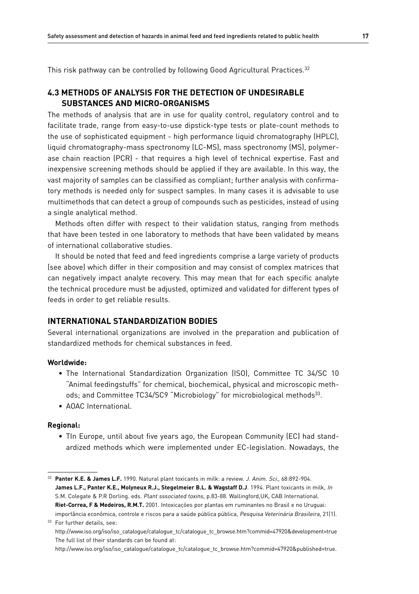This risk pathway can be controlled by following Good Agricultural Practices.<sup>32</sup>

# **4.3 Methods of analysis for the detection of undesirable substances and micro-organisms**

The methods of analysis that are in use for quality control, regulatory control and to facilitate trade, range from easy-to-use dipstick-type tests or plate-count methods to the use of sophisticated equipment - high performance liquid chromatography (HPLC), liquid chromatography-mass spectronomy (LC-MS), mass spectronomy (MS), polymerase chain reaction (PCR) - that requires a high level of technical expertise. Fast and inexpensive screening methods should be applied if they are available. In this way, the vast majority of samples can be classified as compliant; further analysis with confirmatory methods is needed only for suspect samples. In many cases it is advisable to use multimethods that can detect a group of compounds such as pesticides, instead of using a single analytical method.

Methods often differ with respect to their validation status, ranging from methods that have been tested in one laboratory to methods that have been validated by means of international collaborative studies.

It should be noted that feed and feed ingredients comprise a large variety of products (see above) which differ in their composition and may consist of complex matrices that can negatively impact analyte recovery. This may mean that for each specific analyte the technical procedure must be adjusted, optimized and validated for different types of feeds in order to get reliable results.

## **International standardization bodies**

Several international organizations are involved in the preparation and publication of standardized methods for chemical substances in feed.

#### **Worldwide:**

- The International Standardization Organization (ISO), Committee TC 34/SC 10 "Animal feedingstuffs" for chemical, biochemical, physical and microscopic methods; and Committee TC34/SC9 "Microbiology" for microbiological methods<sup>33</sup>.
- AOAC International.

#### **Regional:**

• TIn Europe, until about five years ago, the European Community (EC) had standardized methods which were implemented under EC-legislation. Nowadays, the

<sup>32</sup> **Panter K.E. & James L.F.** 1990. Natural plant toxicants in milk: a review. J. Anim. Sci., 68:892-904. **James L.F., Panter K.E., Molyneux R.J., Stegelmeier B.L. & Wagstaff D.J**. 1994. Plant toxicants in milk, In S.M. Colegate & P.R Dorling. eds. Plant sssociated toxins, p.83-88. Wallingford,UK, CAB International. **Riet-Correa, F & Medeiros, R.M.T.** 2001. Intoxicações por plantas em ruminantes no Brasil e no Uruguai: importância econômica, controle e riscos para a saúde pública pública, Pesquisa Veterinária Brasileira, 21(1). <sup>33</sup> For further details, see:

http://www.iso.org/iso/iso\_catalogue/catalogue\_tc/catalogue\_tc\_browse.htm?commid=47920&development=true The full list of their standards can be found at:

http://www.iso.org/iso/iso\_catalogue/catalogue\_tc/catalogue\_tc\_browse.htm?commid=47920&published=true.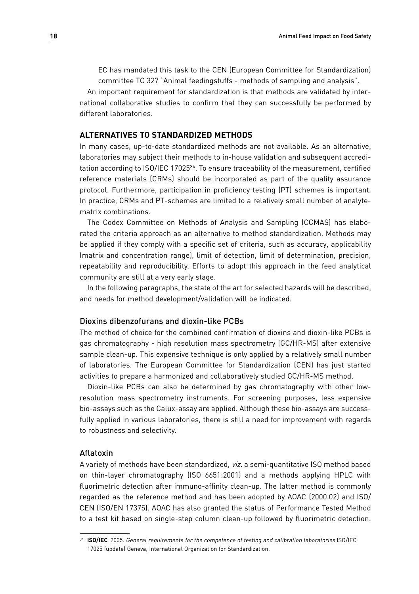EC has mandated this task to the CEN (European Committee for Standardization) committee TC 327 "Animal feedingstuffs - methods of sampling and analysis".

An important requirement for standardization is that methods are validated by international collaborative studies to confirm that they can successfully be performed by different laboratories.

## **Alternatives to standardized methods**

In many cases, up-to-date standardized methods are not available. As an alternative, laboratories may subject their methods to in-house validation and subsequent accreditation according to ISO/IEC 1702534. To ensure traceability of the measurement, certified reference materials (CRMs) should be incorporated as part of the quality assurance protocol. Furthermore, participation in proficiency testing (PT) schemes is important. In practice, CRMs and PT-schemes are limited to a relatively small number of analytematrix combinations.

The Codex Committee on Methods of Analysis and Sampling (CCMAS) has elaborated the criteria approach as an alternative to method standardization. Methods may be applied if they comply with a specific set of criteria, such as accuracy, applicability (matrix and concentration range), limit of detection, limit of determination, precision, repeatability and reproducibility. Efforts to adopt this approach in the feed analytical community are still at a very early stage.

In the following paragraphs, the state of the art for selected hazards will be described, and needs for method development/validation will be indicated.

## Dioxins dibenzofurans and dioxin-like PCBs

The method of choice for the combined confirmation of dioxins and dioxin-like PCBs is gas chromatography - high resolution mass spectrometry (GC/HR-MS) after extensive sample clean-up. This expensive technique is only applied by a relatively small number of laboratories. The European Committee for Standardization (CEN) has just started activities to prepare a harmonized and collaboratively studied GC/HR-MS method.

Dioxin-like PCBs can also be determined by gas chromatography with other lowresolution mass spectrometry instruments. For screening purposes, less expensive bio-assays such as the Calux-assay are applied. Although these bio-assays are successfully applied in various laboratories, there is still a need for improvement with regards to robustness and selectivity.

## Aflatoxin

A variety of methods have been standardized, viz. a semi-quantitative ISO method based on thin-layer chromatography (ISO 6651:2001) and a methods applying HPLC with fluorimetric detection after immuno-affinity clean-up. The latter method is commonly regarded as the reference method and has been adopted by AOAC (2000.02) and ISO/ CEN (ISO/EN 17375). AOAC has also granted the status of Performance Tested Method to a test kit based on single-step column clean-up followed by fluorimetric detection.

<sup>34</sup> **ISO/IEC**. 2005. General requirements for the competence of testing and calibration laboratories ISO/IEC 17025 (update) Geneva, International Organization for Standardization.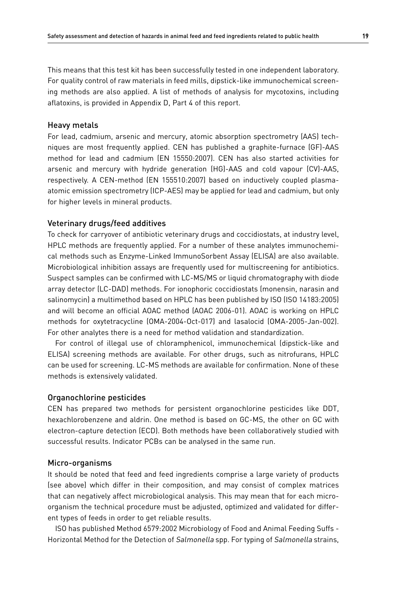This means that this test kit has been successfully tested in one independent laboratory. For quality control of raw materials in feed mills, dipstick-like immunochemical screening methods are also applied. A list of methods of analysis for mycotoxins, including aflatoxins, is provided in Appendix D, Part 4 of this report.

#### Heavy metals

For lead, cadmium, arsenic and mercury, atomic absorption spectrometry (AAS) techniques are most frequently applied. CEN has published a graphite-furnace (GF)-AAS method for lead and cadmium (EN 15550:2007). CEN has also started activities for arsenic and mercury with hydride generation (HG)-AAS and cold vapour (CV)-AAS, respectively. A CEN-method (EN 155510:2007) based on inductively coupled plasmaatomic emission spectrometry (ICP-AES) may be applied for lead and cadmium, but only for higher levels in mineral products.

#### Veterinary drugs/feed additives

To check for carryover of antibiotic veterinary drugs and coccidiostats, at industry level, HPLC methods are frequently applied. For a number of these analytes immunochemical methods such as Enzyme-Linked ImmunoSorbent Assay (ELISA) are also available. Microbiological inhibition assays are frequently used for multiscreening for antibiotics. Suspect samples can be confirmed with LC-MS/MS or liquid chromatography with diode array detector (LC-DAD) methods. For ionophoric coccidiostats (monensin, narasin and salinomycin) a multimethod based on HPLC has been published by ISO (ISO 14183:2005) and will become an official AOAC method (AOAC 2006-01). AOAC is working on HPLC methods for oxytetracycline (OMA-2004-Oct-017) and lasalocid (OMA-2005-Jan-002). For other analytes there is a need for method validation and standardization.

For control of illegal use of chloramphenicol, immunochemical (dipstick-like and ELISA) screening methods are available. For other drugs, such as nitrofurans, HPLC can be used for screening. LC-MS methods are available for confirmation. None of these methods is extensively validated.

#### Organochlorine pesticides

CEN has prepared two methods for persistent organochlorine pesticides like DDT, hexachlorobenzene and aldrin. One method is based on GC-MS, the other on GC with electron-capture detection (ECD). Both methods have been collaboratively studied with successful results. Indicator PCBs can be analysed in the same run.

#### Micro-organisms

It should be noted that feed and feed ingredients comprise a large variety of products (see above) which differ in their composition, and may consist of complex matrices that can negatively affect microbiological analysis. This may mean that for each microorganism the technical procedure must be adjusted, optimized and validated for different types of feeds in order to get reliable results.

ISO has published Method 6579:2002 Microbiology of Food and Animal Feeding Suffs - Horizontal Method for the Detection of Salmonella spp. For typing of Salmonella strains,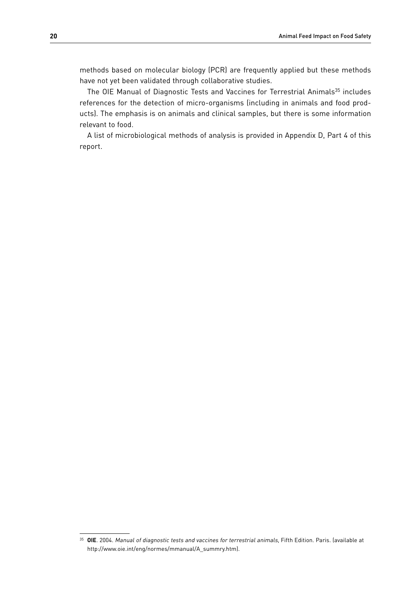methods based on molecular biology (PCR) are frequently applied but these methods have not yet been validated through collaborative studies.

The OIE Manual of Diagnostic Tests and Vaccines for Terrestrial Animals<sup>35</sup> includes references for the detection of micro-organisms (including in animals and food products). The emphasis is on animals and clinical samples, but there is some information relevant to food.

A list of microbiological methods of analysis is provided in Appendix D, Part 4 of this report.

<sup>35</sup> **OIE**. 2004. Manual of diagnostic tests and vaccines for terrestrial animals, Fifth Edition. Paris. (available at http://www.oie.int/eng/normes/mmanual/A\_summry.htm).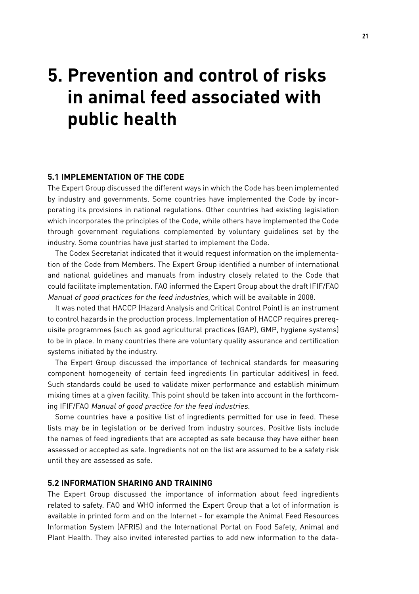# **5. Prevention and control of risks in animal feed associated with public health**

## **5.1 Implementation of the Code**

The Expert Group discussed the different ways in which the Code has been implemented by industry and governments. Some countries have implemented the Code by incorporating its provisions in national regulations. Other countries had existing legislation which incorporates the principles of the Code, while others have implemented the Code through government regulations complemented by voluntary guidelines set by the industry. Some countries have just started to implement the Code.

The Codex Secretariat indicated that it would request information on the implementation of the Code from Members. The Expert Group identified a number of international and national guidelines and manuals from industry closely related to the Code that could facilitate implementation. FAO informed the Expert Group about the draft IFIF/FAO Manual of good practices for the feed industries, which will be available in 2008.

It was noted that HACCP (Hazard Analysis and Critical Control Point) is an instrument to control hazards in the production process. Implementation of HACCP requires prerequisite programmes (such as good agricultural practices (GAP), GMP, hygiene systems) to be in place. In many countries there are voluntary quality assurance and certification systems initiated by the industry.

The Expert Group discussed the importance of technical standards for measuring component homogeneity of certain feed ingredients (in particular additives) in feed. Such standards could be used to validate mixer performance and establish minimum mixing times at a given facility. This point should be taken into account in the forthcoming IFIF/FAO Manual of good practice for the feed industries.

Some countries have a positive list of ingredients permitted for use in feed. These lists may be in legislation or be derived from industry sources. Positive lists include the names of feed ingredients that are accepted as safe because they have either been assessed or accepted as safe. Ingredients not on the list are assumed to be a safety risk until they are assessed as safe.

## **5.2 Information sharing and training**

The Expert Group discussed the importance of information about feed ingredients related to safety. FAO and WHO informed the Expert Group that a lot of information is available in printed form and on the Internet - for example the Animal Feed Resources Information System (AFRIS) and the International Portal on Food Safety, Animal and Plant Health. They also invited interested parties to add new information to the data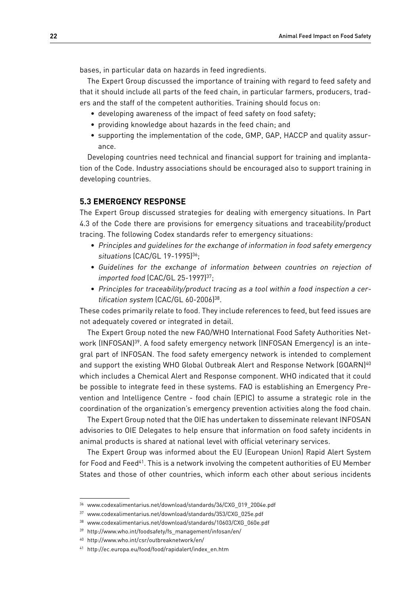bases, in particular data on hazards in feed ingredients.

The Expert Group discussed the importance of training with regard to feed safety and that it should include all parts of the feed chain, in particular farmers, producers, traders and the staff of the competent authorities. Training should focus on:

- developing awareness of the impact of feed safety on food safety;
- providing knowledge about hazards in the feed chain; and
- supporting the implementation of the code, GMP, GAP, HACCP and quality assurance.

Developing countries need technical and financial support for training and implantation of the Code. Industry associations should be encouraged also to support training in developing countries.

## **5.3 Emergency response**

The Expert Group discussed strategies for dealing with emergency situations. In Part 4.3 of the Code there are provisions for emergency situations and traceability/product tracing. The following Codex standards refer to emergency situations:

- Principles and guidelines for the exchange of information in food safety emergency situations (CAC/GL 19-1995)<sup>36</sup>;
- Guidelines for the exchange of information between countries on rejection of imported food (CAC/GL 25-1997)<sup>37</sup>;
- Principles for traceability/product tracing as a tool within a food inspection a certification system (CAC/GL 60-2006)<sup>38</sup>.

These codes primarily relate to food. They include references to feed, but feed issues are not adequately covered or integrated in detail.

The Expert Group noted the new FAO/WHO International Food Safety Authorities Network (INFOSAN)<sup>39</sup>. A food safety emergency network (INFOSAN Emergency) is an integral part of INFOSAN. The food safety emergency network is intended to complement and support the existing WHO Global Outbreak Alert and Response Network (GOARN)<sup>40</sup> which includes a Chemical Alert and Response component. WHO indicated that it could be possible to integrate feed in these systems. FAO is establishing an Emergency Prevention and Intelligence Centre - food chain (EPIC) to assume a strategic role in the coordination of the organization's emergency prevention activities along the food chain.

The Expert Group noted that the OIE has undertaken to disseminate relevant INFOSAN advisories to OIE Delegates to help ensure that information on food safety incidents in animal products is shared at national level with official veterinary services.

The Expert Group was informed about the EU (European Union) Rapid Alert System for Food and Feed<sup>41</sup>. This is a network involving the competent authorities of EU Member States and those of other countries, which inform each other about serious incidents

<sup>36</sup> www.codexalimentarius.net/download/standards/36/CXG\_019\_2004e.pdf

<sup>37</sup> www.codexalimentarius.net/download/standards/353/CXG\_025e.pdf

<sup>38</sup> www.codexalimentarius.net/download/standards/10603/CXG\_060e.pdf

<sup>39</sup> http://www.who.int/foodsafety/fs\_management/infosan/en/

<sup>40</sup> http://www.who.int/csr/outbreaknetwork/en/

<sup>41</sup> http://ec.europa.eu/food/food/rapidalert/index\_en.htm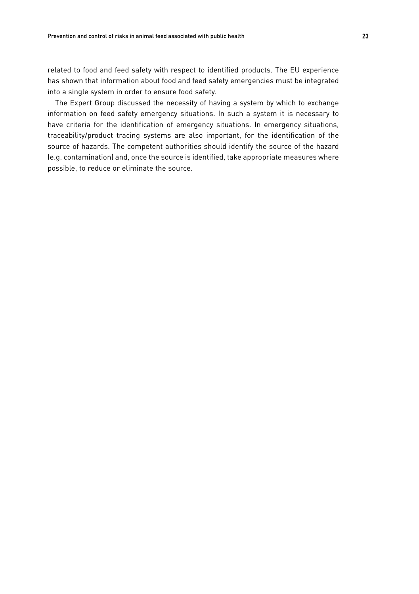related to food and feed safety with respect to identified products. The EU experience has shown that information about food and feed safety emergencies must be integrated into a single system in order to ensure food safety.

The Expert Group discussed the necessity of having a system by which to exchange information on feed safety emergency situations. In such a system it is necessary to have criteria for the identification of emergency situations. In emergency situations, traceability/product tracing systems are also important, for the identification of the source of hazards. The competent authorities should identify the source of the hazard (e.g. contamination) and, once the source is identified, take appropriate measures where possible, to reduce or eliminate the source.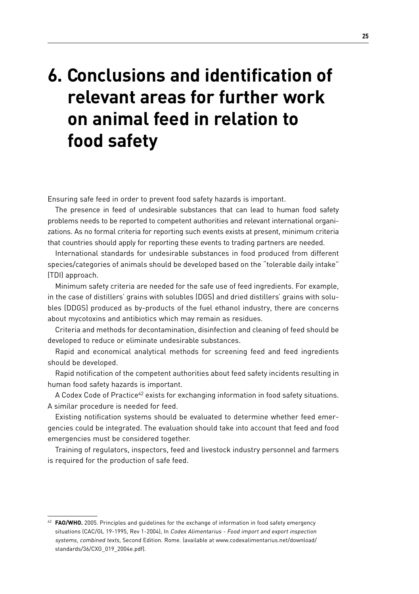# **6. Conclusions and identification of relevant areas for further work on animal feed in relation to food safety**

Ensuring safe feed in order to prevent food safety hazards is important.

The presence in feed of undesirable substances that can lead to human food safety problems needs to be reported to competent authorities and relevant international organizations. As no formal criteria for reporting such events exists at present, minimum criteria that countries should apply for reporting these events to trading partners are needed.

International standards for undesirable substances in food produced from different species/categories of animals should be developed based on the "tolerable daily intake" (TDI) approach.

Minimum safety criteria are needed for the safe use of feed ingredients. For example, in the case of distillers' grains with solubles (DGS) and dried distillers' grains with solubles (DDGS) produced as by-products of the fuel ethanol industry, there are concerns about mycotoxins and antibiotics which may remain as residues.

Criteria and methods for decontamination, disinfection and cleaning of feed should be developed to reduce or eliminate undesirable substances.

Rapid and economical analytical methods for screening feed and feed ingredients should be developed.

Rapid notification of the competent authorities about feed safety incidents resulting in human food safety hazards is important.

A Codex Code of Practice<sup>42</sup> exists for exchanging information in food safety situations. A similar procedure is needed for feed.

Existing notification systems should be evaluated to determine whether feed emergencies could be integrated. The evaluation should take into account that feed and food emergencies must be considered together.

Training of regulators, inspectors, feed and livestock industry personnel and farmers is required for the production of safe feed.

<sup>42</sup> **FAO/WHO.** 2005. Principles and guidelines for the exchange of information in food safety emergency situations (CAC/GL 19-1995, Rev 1-2004), In Codex Alimentarius - Food import and export inspection systems, combined texts, Second Edition. Rome. (available at www.codexalimentarius.net/download/ standards/36/CXG\_019\_2004e.pdf).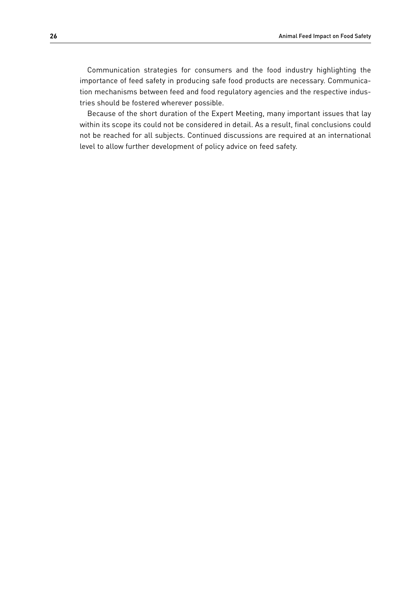Communication strategies for consumers and the food industry highlighting the importance of feed safety in producing safe food products are necessary. Communication mechanisms between feed and food regulatory agencies and the respective industries should be fostered wherever possible.

Because of the short duration of the Expert Meeting, many important issues that lay within its scope its could not be considered in detail. As a result, final conclusions could not be reached for all subjects. Continued discussions are required at an international level to allow further development of policy advice on feed safety.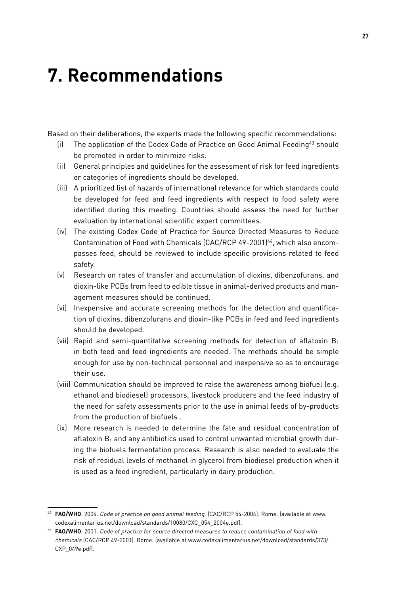# **7. Recommendations**

Based on their deliberations, the experts made the following specific recommendations:

- (i) The application of the Codex Code of Practice on Good Animal Feeding43 should be promoted in order to minimize risks.
- (ii) General principles and guidelines for the assessment of risk for feed ingredients or categories of ingredients should be developed.
- (iii) A prioritized list of hazards of international relevance for which standards could be developed for feed and feed ingredients with respect to food safety were identified during this meeting. Countries should assess the need for further evaluation by international scientific expert committees.
- (iv) The existing Codex Code of Practice for Source Directed Measures to Reduce Contamination of Food with Chemicals (CAC/RCP 49-2001)<sup>44</sup>, which also encompasses feed, should be reviewed to include specific provisions related to feed safety.
- (v) Research on rates of transfer and accumulation of dioxins, dibenzofurans, and dioxin-like PCBs from feed to edible tissue in animal-derived products and management measures should be continued.
- (vi) Inexpensive and accurate screening methods for the detection and quantification of dioxins, dibenzofurans and dioxin-like PCBs in feed and feed ingredients should be developed.
- (vii) Rapid and semi-quantitative screening methods for detection of aflatoxin  $B_1$ in both feed and feed ingredients are needed. The methods should be simple enough for use by non-technical personnel and inexpensive so as to encourage their use.
- (viii) Communication should be improved to raise the awareness among biofuel (e.g. ethanol and biodiesel) processors, livestock producers and the feed industry of the need for safety assessments prior to the use in animal feeds of by-products from the production of biofuels .
- (ix) More research is needed to determine the fate and residual concentration of aflatoxin  $B_1$  and any antibiotics used to control unwanted microbial growth during the biofuels fermentation process. Research is also needed to evaluate the risk of residual levels of methanol in glycerol from biodiesel production when it is used as a feed ingredient, particularly in dairy production.

<sup>43</sup> **FAO/WHO**. 2004. Code of practice on good animal feeding, (CAC/RCP 54-2004). Rome. (available at www. codexalimentarius.net/download/standards/10080/CXC\_054\_2004e.pdf).

<sup>44</sup> **FAO/WHO**. 2001. Code of practice for source directed measures to reduce contamination of food with chemicals (CAC/RCP 49-2001). Rome. (available at www.codexalimentarius.net/download/standards/373/ CXP\_049e.pdf).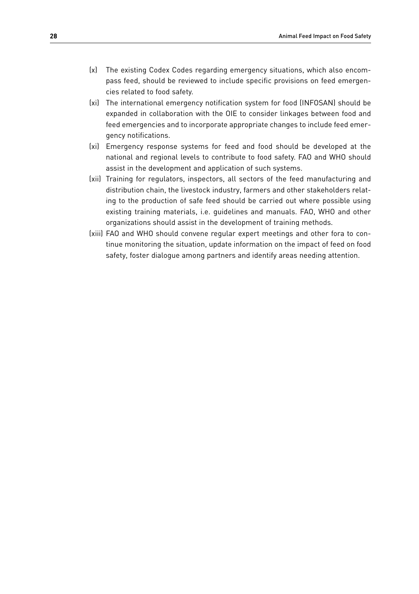- (x) The existing Codex Codes regarding emergency situations, which also encompass feed, should be reviewed to include specific provisions on feed emergencies related to food safety.
- (xi) The international emergency notification system for food (INFOSAN) should be expanded in collaboration with the OIE to consider linkages between food and feed emergencies and to incorporate appropriate changes to include feed emergency notifications.
- (xi) Emergency response systems for feed and food should be developed at the national and regional levels to contribute to food safety. FAO and WHO should assist in the development and application of such systems.
- (xii) Training for regulators, inspectors, all sectors of the feed manufacturing and distribution chain, the livestock industry, farmers and other stakeholders relating to the production of safe feed should be carried out where possible using existing training materials, i.e. guidelines and manuals. FAO, WHO and other organizations should assist in the development of training methods.
- (xiii) FAO and WHO should convene regular expert meetings and other fora to continue monitoring the situation, update information on the impact of feed on food safety, foster dialogue among partners and identify areas needing attention.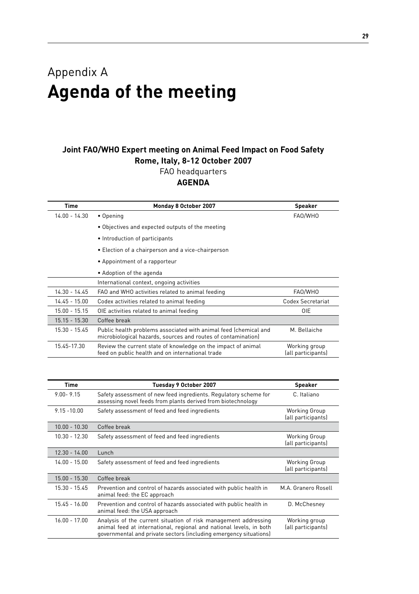## Appendix A **Agenda of the meeting**

## **Joint FAO/WHO Expert meeting on Animal Feed Impact on Food Safety Rome, Italy, 8-12 October 2007**

FAO headquarters

## **AGENDA**

| <b>Time</b>     | <b>Monday 8 October 2007</b>                                                                                                      | <b>Speaker</b>                      |
|-----------------|-----------------------------------------------------------------------------------------------------------------------------------|-------------------------------------|
| 14.00 - 14.30   | • Opening                                                                                                                         | FAO/WHO                             |
|                 | • Objectives and expected outputs of the meeting                                                                                  |                                     |
|                 | • Introduction of participants                                                                                                    |                                     |
|                 | • Election of a chairperson and a vice-chairperson                                                                                |                                     |
|                 | • Appointment of a rapporteur                                                                                                     |                                     |
|                 | • Adoption of the agenda                                                                                                          |                                     |
|                 | International context, ongoing activities                                                                                         |                                     |
| 14.30 - 14.45   | FAO and WHO activities related to animal feeding                                                                                  | FAO/WHO                             |
| $14.45 - 15.00$ | Codex activities related to animal feeding                                                                                        | Codex Secretariat                   |
| 15.00 - 15.15   | OIE activities related to animal feeding                                                                                          | <b>OIE</b>                          |
| $15.15 - 15.30$ | Coffee break                                                                                                                      |                                     |
| 15.30 - 15.45   | Public health problems associated with animal feed (chemical and<br>microbiological hazards, sources and routes of contamination) | M. Bellaiche                        |
| 15.45-17.30     | Review the current state of knowledge on the impact of animal<br>feed on public health and on international trade                 | Working group<br>(all participants) |

| <b>Time</b>     | Tuesday 9 October 2007                                                                                                                                                                                      | <b>Speaker</b>                      |
|-----------------|-------------------------------------------------------------------------------------------------------------------------------------------------------------------------------------------------------------|-------------------------------------|
| $9.00 - 9.15$   | Safety assessment of new feed ingredients. Regulatory scheme for<br>assessing novel feeds from plants derived from biotechnology                                                                            | C. Italiano                         |
| $9.15 - 10.00$  | Safety assessment of feed and feed ingredients                                                                                                                                                              | Working Group<br>(all participants) |
| $10.00 - 10.30$ | Coffee break                                                                                                                                                                                                |                                     |
| $10.30 - 12.30$ | Safety assessment of feed and feed ingredients                                                                                                                                                              | Working Group<br>(all participants) |
| $12.30 - 14.00$ | Lunch                                                                                                                                                                                                       |                                     |
| $14.00 - 15.00$ | Safety assessment of feed and feed ingredients                                                                                                                                                              | Working Group<br>(all participants) |
| $15.00 - 15.30$ | Coffee break                                                                                                                                                                                                |                                     |
| 15.30 - 15.45   | Prevention and control of hazards associated with public health in<br>animal feed: the EC approach                                                                                                          | M.A. Granero Rosell                 |
| $15.45 - 16.00$ | Prevention and control of hazards associated with public health in<br>animal feed: the USA approach                                                                                                         | D. McChesney                        |
| $16.00 - 17.00$ | Analysis of the current situation of risk management addressing<br>animal feed at international, regional and national levels, in both<br>governmental and private sectors (including emergency situations) | Working group<br>(all participants) |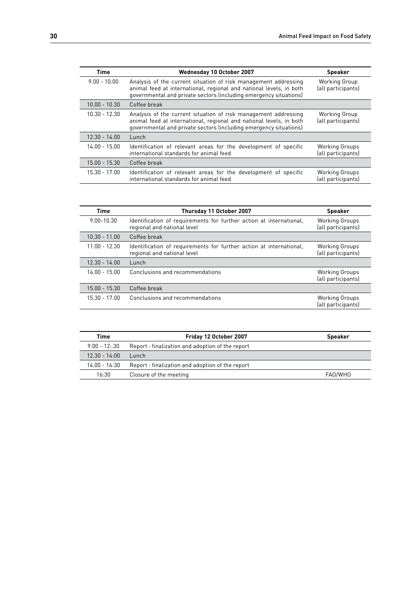| <b>Time</b>     | Wednesday 10 October 2007                                                                                                                                                                                   | <b>Speaker</b>                              |
|-----------------|-------------------------------------------------------------------------------------------------------------------------------------------------------------------------------------------------------------|---------------------------------------------|
| $9.00 - 10.00$  | Analysis of the current situation of risk management addressing<br>animal feed at international, regional and national levels, in both<br>governmental and private sectors (including emergency situations) | <b>Working Group</b><br>(all participants)  |
| $10.00 - 10.30$ | Coffee break                                                                                                                                                                                                |                                             |
| $10.30 - 12.30$ | Analysis of the current situation of risk management addressing<br>animal feed at international, regional and national levels, in both<br>governmental and private sectors (including emergency situations) | <b>Working Group</b><br>(all participants)  |
| $12.30 - 14.00$ | Lunch                                                                                                                                                                                                       |                                             |
| $14.00 - 15.00$ | Identification of relevant areas for the development of specific<br>international standards for animal feed                                                                                                 | <b>Working Groups</b><br>(all participants) |
| $15.00 - 15.30$ | Coffee break                                                                                                                                                                                                |                                             |
| $15.30 - 17.00$ | Identification of relevant areas for the development of specific<br>international standards for animal feed                                                                                                 | <b>Working Groups</b><br>(all participants) |

| <b>Time</b>     | Thursday 11 October 2007                                                                           | <b>Speaker</b>                              |
|-----------------|----------------------------------------------------------------------------------------------------|---------------------------------------------|
| $9.00 - 10.30$  | Identification of requirements for further action at international,<br>regional and national level | <b>Working Groups</b><br>(all participants) |
| $10.30 - 11.00$ | Coffee break                                                                                       |                                             |
| $11.00 - 12.30$ | Identification of requirements for further action at international,<br>regional and national level | <b>Working Groups</b><br>(all participants) |
| $12.30 - 14.00$ | Lunch                                                                                              |                                             |
| $1400 - 1500$   | Conclusions and recommendations                                                                    | <b>Working Groups</b><br>(all participants) |
| $15.00 - 15.30$ | Coffee break                                                                                       |                                             |
| $15.30 - 17.00$ | Conclusions and recommendations                                                                    | <b>Working Groups</b><br>(all participants) |

| Time             | Friday 12 October 2007                          | <b>Speaker</b> |
|------------------|-------------------------------------------------|----------------|
| $9.00 - 12$ : 30 | Report: finalization and adoption of the report |                |
| $12.30 - 14:00$  | $l$ unch                                        |                |
| $14.00 - 16:30$  | Report: finalization and adoption of the report |                |
| 16:30            | Closure of the meeting                          | FAO/WHO        |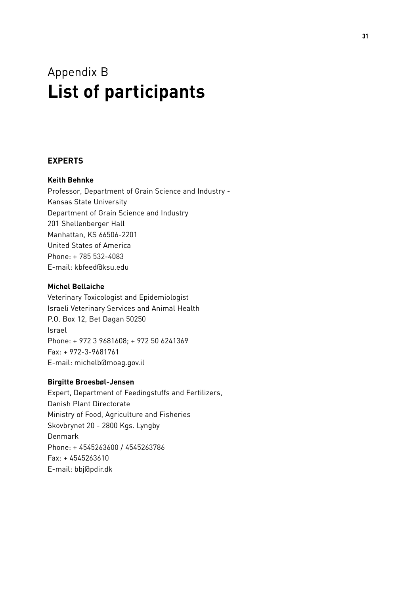## Appendix B **List of participants**

## **Experts**

## **Keith Behnke**

Professor, Department of Grain Science and Industry - Kansas State University Department of Grain Science and Industry 201 Shellenberger Hall Manhattan, KS 66506-2201 United States of America Phone: + 785 532-4083 E-mail: kbfeed@ksu.edu

## **Michel Bellaiche**

Veterinary Toxicologist and Epidemiologist Israeli Veterinary Services and Animal Health P.O. Box 12, Bet Dagan 50250 Israel Phone: + 972 3 9681608; + 972 50 6241369 Fax: + 972-3-9681761 E-mail: michelb@moag.gov.il

## **Birgitte Broesbøl-Jensen**

Expert, Department of Feedingstuffs and Fertilizers, Danish Plant Directorate Ministry of Food, Agriculture and Fisheries Skovbrynet 20 - 2800 Kgs. Lyngby Denmark Phone: + 4545263600 / 4545263786 Fax: + 4545263610 E-mail: bbj@pdir.dk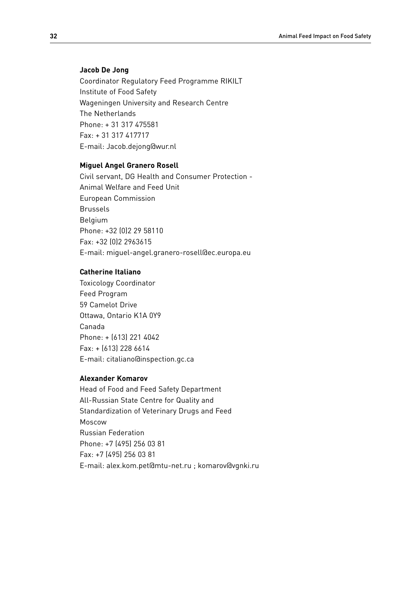#### **Jacob De Jong**

Coordinator Regulatory Feed Programme RIKILT Institute of Food Safety Wageningen University and Research Centre The Netherlands Phone: + 31 317 475581 Fax: + 31 317 417717 E-mail: Jacob.dejong@wur.nl

#### **Miguel Angel Granero Rosell**

Civil servant, DG Health and Consumer Protection - Animal Welfare and Feed Unit European Commission Brussels Belgium Phone: +32 (0)2 29 58110 Fax: +32 (0)2 2963615 E-mail: miguel-angel.granero-rosell@ec.europa.eu

## **Catherine Italiano**

Toxicology Coordinator Feed Program 59 Camelot Drive Ottawa, Ontario K1A 0Y9 Canada Phone: + (613) 221 4042 Fax: + (613) 228 6614 E-mail: citaliano@inspection.gc.ca

## **Alexander Komarov**

Head of Food and Feed Safety Department All-Russian State Centre for Quality and Standardization of Veterinary Drugs and Feed Moscow Russian Federation Phone: +7 (495) 256 03 81 Fax: +7 (495) 256 03 81 E-mail: alex.kom.pet@mtu-net.ru ; komarov@vgnki.ru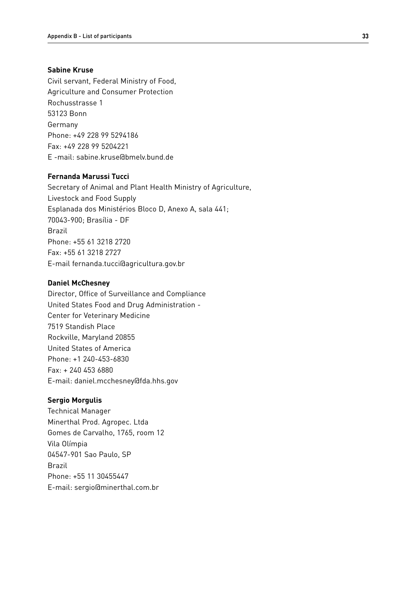## **Sabine Kruse**

Civil servant, Federal Ministry of Food, Agriculture and Consumer Protection Rochusstrasse 1 53123 Bonn Germany Phone: +49 228 99 5294186 Fax: +49 228 99 5204221 E -mail: sabine.kruse@bmelv.bund.de

## **Fernanda Marussi Tucci**

Secretary of Animal and Plant Health Ministry of Agriculture, Livestock and Food Supply Esplanada dos Ministérios Bloco D, Anexo A, sala 441; 70043-900; Brasília - DF Brazil Phone: +55 61 3218 2720 Fax: +55 61 3218 2727 E-mail fernanda.tucci@agricultura.gov.br

## **Daniel McChesney**

Director, Office of Surveillance and Compliance United States Food and Drug Administration - Center for Veterinary Medicine 7519 Standish Place Rockville, Maryland 20855 United States of America Phone: +1 240-453-6830 Fax: + 240 453 6880 E-mail: daniel.mcchesney@fda.hhs.gov

## **Sergio Morgulis**

Technical Manager Minerthal Prod. Agropec. Ltda Gomes de Carvalho, 1765, room 12 Vila Olímpia 04547-901 Sao Paulo, SP Brazil Phone: +55 11 30455447 E-mail: sergio@minerthal.com.br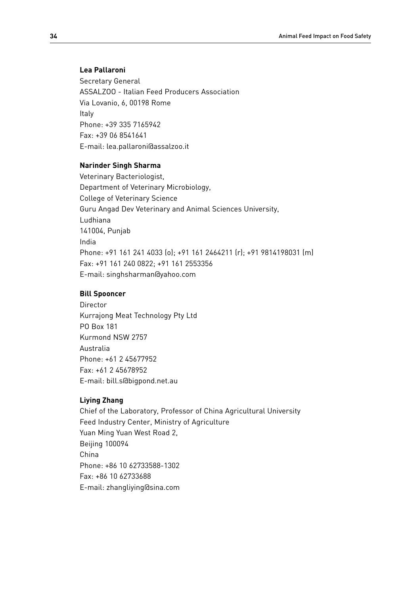#### **Lea Pallaroni**

Secretary General ASSALZOO - Italian Feed Producers Association Via Lovanio, 6, 00198 Rome Italy Phone: +39 335 7165942 Fax: +39 06 8541641 E-mail: lea.pallaroni@assalzoo.it

#### **Narinder Singh Sharma**

Veterinary Bacteriologist, Department of Veterinary Microbiology, College of Veterinary Science Guru Angad Dev Veterinary and Animal Sciences University, Ludhiana 141004, Punjab India Phone: +91 161 241 4033 (o); +91 161 2464211 (r); +91 9814198031 (m) Fax: +91 161 240 0822; +91 161 2553356 E-mail: singhsharman@yahoo.com

## **Bill Spooncer**

Director Kurrajong Meat Technology Pty Ltd PO Box 181 Kurmond NSW 2757 Australia Phone: +61 2 45677952 Fax: +61 2 45678952 E-mail: bill.s@bigpond.net.au

## **Liying Zhang**

Chief of the Laboratory, Professor of China Agricultural University Feed Industry Center, Ministry of Agriculture Yuan Ming Yuan West Road 2, Beijing 100094 China Phone: +86 10 62733588-1302 Fax: +86 10 62733688 E-mail: zhangliying@sina.com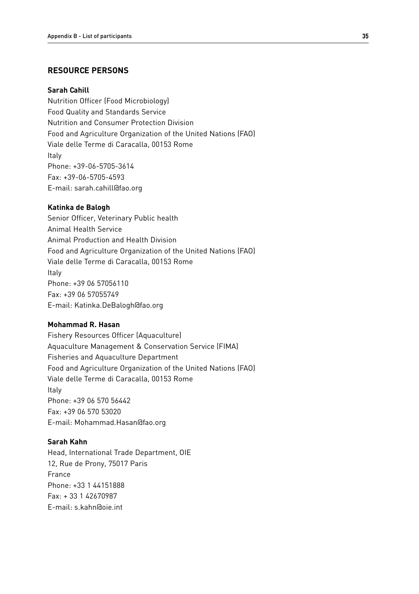## **Resource Persons**

#### **Sarah Cahill**

Nutrition Officer (Food Microbiology) Food Quality and Standards Service Nutrition and Consumer Protection Division Food and Agriculture Organization of the United Nations (FAO) Viale delle Terme di Caracalla, 00153 Rome Italy Phone: +39-06-5705-3614 Fax: +39-06-5705-4593 E-mail: sarah.cahill@fao.org

#### **Katinka de Balogh**

Senior Officer, Veterinary Public health Animal Health Service Animal Production and Health Division Food and Agriculture Organization of the United Nations (FAO) Viale delle Terme di Caracalla, 00153 Rome Italy Phone: +39 06 57056110 Fax: +39 06 57055749 E-mail: Katinka.DeBalogh@fao.org

#### **Mohammad R. Hasan**

Fishery Resources Officer (Aquaculture) Aquaculture Management & Conservation Service (FIMA) Fisheries and Aquaculture Department Food and Agriculture Organization of the United Nations (FAO) Viale delle Terme di Caracalla, 00153 Rome Italy Phone: +39 06 570 56442 Fax: +39 06 570 53020 E-mail: Mohammad.Hasan@fao.org

## **Sarah Kahn**

Head, International Trade Department, OIE 12, Rue de Prony, 75017 Paris France Phone: +33 1 44151888 Fax: + 33 1 42670987 E-mail: s.kahn@oie.int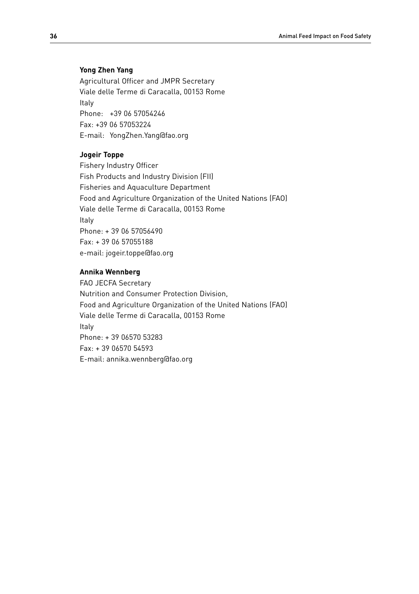#### **Yong Zhen Yang**

Agricultural Officer and JMPR Secretary Viale delle Terme di Caracalla, 00153 Rome Italy Phone: +39 06 57054246 Fax: +39 06 57053224 E-mail: YongZhen.Yang@fao.org

#### **Jogeir Toppe**

Fishery Industry Officer Fish Products and Industry Division (FII) Fisheries and Aquaculture Department Food and Agriculture Organization of the United Nations (FAO) Viale delle Terme di Caracalla, 00153 Rome Italy Phone: + 39 06 57056490 Fax: + 39 06 57055188 e-mail: jogeir.toppe@fao.org

## **Annika Wennberg**

FAO JECFA Secretary Nutrition and Consumer Protection Division, Food and Agriculture Organization of the United Nations (FAO) Viale delle Terme di Caracalla, 00153 Rome Italy Phone: + 39 06570 53283 Fax: + 39 06570 54593 E-mail: annika.wennberg@fao.org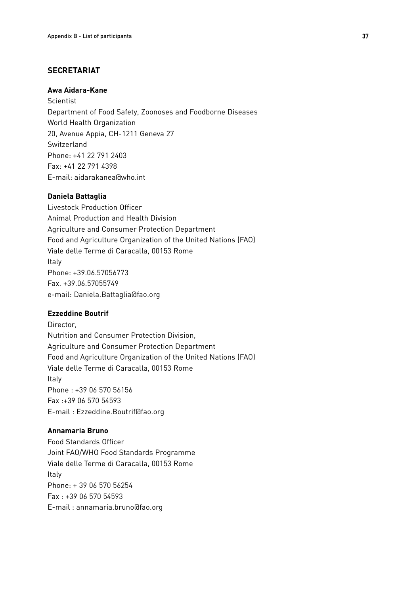## **Secretariat**

#### **Awa Aidara-Kane**

Scientist Department of Food Safety, Zoonoses and Foodborne Diseases World Health Organization 20, Avenue Appia, CH-1211 Geneva 27 Switzerland Phone: +41 22 791 2403 Fax: +41 22 791 4398 E-mail: aidarakanea@who.int

#### **Daniela Battaglia**

Livestock Production Officer Animal Production and Health Division Agriculture and Consumer Protection Department Food and Agriculture Organization of the United Nations (FAO) Viale delle Terme di Caracalla, 00153 Rome Italy Phone: +39.06.57056773 Fax. +39.06.57055749 e-mail: Daniela.Battaglia@fao.org

## **Ezzeddine Boutrif**

Director, Nutrition and Consumer Protection Division, Agriculture and Consumer Protection Department Food and Agriculture Organization of the United Nations (FAO) Viale delle Terme di Caracalla, 00153 Rome Italy Phone : +39 06 570 56156 Fax :+39 06 570 54593 E-mail : Ezzeddine.Boutrif@fao.org

## **Annamaria Bruno**

Food Standards Officer Joint FAO/WHO Food Standards Programme Viale delle Terme di Caracalla, 00153 Rome Italy Phone: + 39 06 570 56254 Fax : +39 06 570 54593 E-mail : annamaria.bruno@fao.org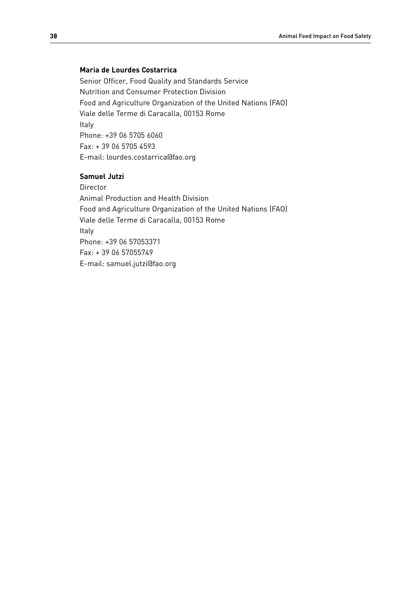## **Maria de Lourdes Costarrica**

Senior Officer, Food Quality and Standards Service Nutrition and Consumer Protection Division Food and Agriculture Organization of the United Nations (FAO) Viale delle Terme di Caracalla, 00153 Rome Italy Phone: +39 06 5705 6060 Fax: + 39 06 5705 4593 E-mail: lourdes.costarrica@fao.org

## **Samuel Jutzi**

Director Animal Production and Health Division Food and Agriculture Organization of the United Nations (FAO) Viale delle Terme di Caracalla, 00153 Rome Italy Phone: +39 06 57053371 Fax: + 39 06 57055749 E-mail: samuel.jutzi@fao.org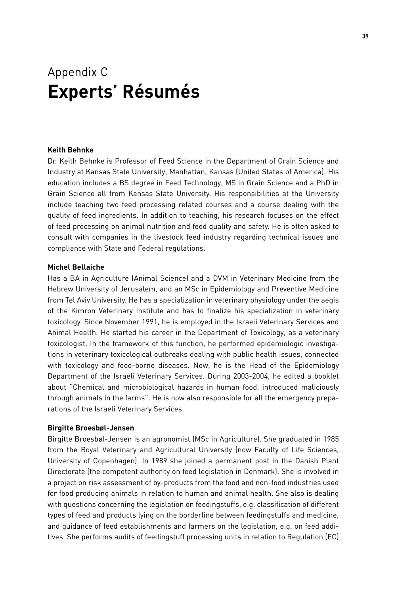## Appendix C **Experts' Résumés**

#### **Keith Behnke**

Dr. Keith Behnke is Professor of Feed Science in the Department of Grain Science and Industry at Kansas State University, Manhattan, Kansas (United States of America). His education includes a BS degree in Feed Technology, MS in Grain Science and a PhD in Grain Science all from Kansas State University. His responsibilities at the University include teaching two feed processing related courses and a course dealing with the quality of feed ingredients. In addition to teaching, his research focuses on the effect of feed processing on animal nutrition and feed quality and safety. He is often asked to consult with companies in the livestock feed industry regarding technical issues and compliance with State and Federal regulations.

#### **Michel Bellaiche**

Has a BA in Agriculture (Animal Science) and a DVM in Veterinary Medicine from the Hebrew University of Jerusalem, and an MSc in Epidemiology and Preventive Medicine from Tel Aviv University. He has a specialization in veterinary physiology under the aegis of the Kimron Veterinary Institute and has to finalize his specialization in veterinary toxicology. Since November 1991, he is employed in the Israeli Veterinary Services and Animal Health. He started his career in the Department of Toxicology, as a veterinary toxicologist. In the framework of this function, he performed epidemiologic investigations in veterinary toxicological outbreaks dealing with public health issues, connected with toxicology and food-borne diseases. Now, he is the Head of the Epidemiology Department of the Israeli Veterinary Services. During 2003-2004, he edited a booklet about "Chemical and microbiological hazards in human food, introduced maliciously through animals in the farms". He is now also responsible for all the emergency preparations of the Israeli Veterinary Services.

### **Birgitte Broesbøl-Jensen**

Birgitte Broesbøl-Jensen is an agronomist (MSc in Agriculture). She graduated in 1985 from the Royal Veterinary and Agricultural University (now Faculty of Life Sciences, University of Copenhagen). In 1989 she joined a permanent post in the Danish Plant Directorate (the competent authority on feed legislation in Denmark). She is involved in a project on risk assessment of by-products from the food and non-food industries used for food producing animals in relation to human and animal health. She also is dealing with questions concerning the legislation on feedingstuffs, e.g. classification of different types of feed and products lying on the borderline between feedingstuffs and medicine, and guidance of feed establishments and farmers on the legislation, e.g. on feed additives. She performs audits of feedingstuff processing units in relation to Regulation (EC)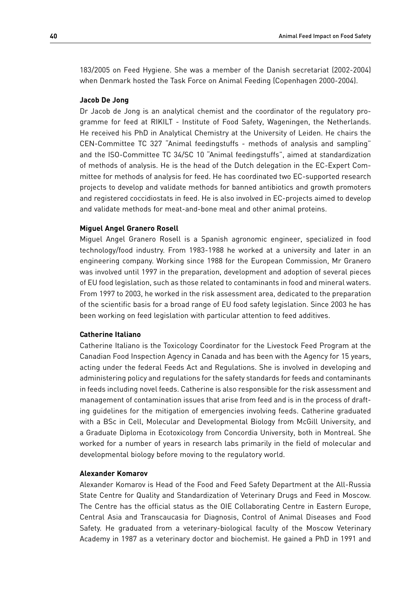183/2005 on Feed Hygiene. She was a member of the Danish secretariat (2002-2004) when Denmark hosted the Task Force on Animal Feeding (Copenhagen 2000-2004).

#### **Jacob De Jong**

Dr Jacob de Jong is an analytical chemist and the coordinator of the regulatory programme for feed at RIKILT - Institute of Food Safety, Wageningen, the Netherlands. He received his PhD in Analytical Chemistry at the University of Leiden. He chairs the CEN-Committee TC 327 "Animal feedingstuffs - methods of analysis and sampling" and the ISO-Committee TC 34/SC 10 "Animal feedingstuffs", aimed at standardization of methods of analysis. He is the head of the Dutch delegation in the EC-Expert Committee for methods of analysis for feed. He has coordinated two EC-supported research projects to develop and validate methods for banned antibiotics and growth promoters and registered coccidiostats in feed. He is also involved in EC-projects aimed to develop and validate methods for meat-and-bone meal and other animal proteins.

#### **Miguel Angel Granero Rosell**

Miguel Angel Granero Rosell is a Spanish agronomic engineer, specialized in food technology/food industry. From 1983-1988 he worked at a university and later in an engineering company. Working since 1988 for the European Commission, Mr Granero was involved until 1997 in the preparation, development and adoption of several pieces of EU food legislation, such as those related to contaminants in food and mineral waters. From 1997 to 2003, he worked in the risk assessment area, dedicated to the preparation of the scientific basis for a broad range of EU food safety legislation. Since 2003 he has been working on feed legislation with particular attention to feed additives.

#### **Catherine Italiano**

Catherine Italiano is the Toxicology Coordinator for the Livestock Feed Program at the Canadian Food Inspection Agency in Canada and has been with the Agency for 15 years, acting under the federal Feeds Act and Regulations. She is involved in developing and administering policy and regulations for the safety standards for feeds and contaminants in feeds including novel feeds. Catherine is also responsible for the risk assessment and management of contamination issues that arise from feed and is in the process of drafting guidelines for the mitigation of emergencies involving feeds. Catherine graduated with a BSc in Cell, Molecular and Developmental Biology from McGill University, and a Graduate Diploma in Ecotoxicology from Concordia University, both in Montreal. She worked for a number of years in research labs primarily in the field of molecular and developmental biology before moving to the regulatory world.

#### **Alexander Komarov**

Alexander Komarov is Head of the Food and Feed Safety Department at the All-Russia State Centre for Quality and Standardization of Veterinary Drugs and Feed in Moscow. The Centre has the official status as the OIE Collaborating Centre in Eastern Europe, Central Asia and Transcaucasia for Diagnosis, Control of Animal Diseases and Food Safety. He graduated from a veterinary-biological faculty of the Moscow Veterinary Academy in 1987 as a veterinary doctor and biochemist. He gained a PhD in 1991 and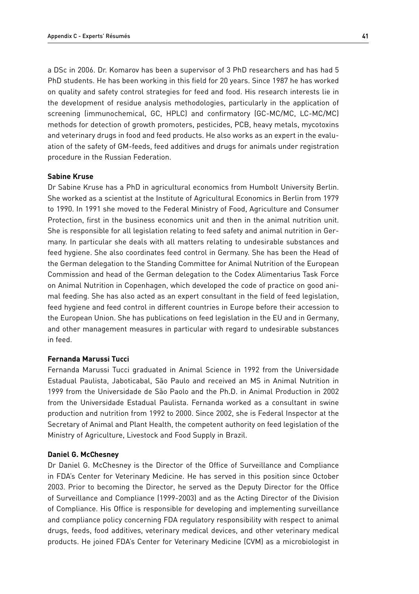a DSc in 2006. Dr. Komarov has been a supervisor of 3 PhD researchers and has had 5 PhD students. He has been working in this field for 20 years. Since 1987 he has worked on quality and safety control strategies for feed and food. His research interests lie in the development of residue analysis methodologies, particularly in the application of screening (immunochemical, GC, HPLC) and confirmatory (GC-MC/MC, LC-MC/MC) methods for detection of growth promoters, pesticides, PCB, heavy metals, mycotoxins and veterinary drugs in food and feed products. He also works as an expert in the evaluation of the safety of GM-feeds, feed additives and drugs for animals under registration procedure in the Russian Federation.

#### **Sabine Kruse**

Dr Sabine Kruse has a PhD in agricultural economics from Humbolt University Berlin. She worked as a scientist at the Institute of Agricultural Economics in Berlin from 1979 to 1990. In 1991 she moved to the Federal Ministry of Food, Agriculture and Consumer Protection, first in the business economics unit and then in the animal nutrition unit. She is responsible for all legislation relating to feed safety and animal nutrition in Germany. In particular she deals with all matters relating to undesirable substances and feed hygiene. She also coordinates feed control in Germany. She has been the Head of the German delegation to the Standing Committee for Animal Nutrition of the European Commission and head of the German delegation to the Codex Alimentarius Task Force on Animal Nutrition in Copenhagen, which developed the code of practice on good animal feeding. She has also acted as an expert consultant in the field of feed legislation, feed hygiene and feed control in different countries in Europe before their accession to the European Union. She has publications on feed legislation in the EU and in Germany, and other management measures in particular with regard to undesirable substances in feed.

#### **Fernanda Marussi Tucci**

Fernanda Marussi Tucci graduated in Animal Science in 1992 from the Universidade Estadual Paulista, Jaboticabal, São Paulo and received an MS in Animal Nutrition in 1999 from the Universidade de São Paolo and the Ph.D. in Animal Production in 2002 from the Universidade Estadual Paulista. Fernanda worked as a consultant in swine production and nutrition from 1992 to 2000. Since 2002, she is Federal Inspector at the Secretary of Animal and Plant Health, the competent authority on feed legislation of the Ministry of Agriculture, Livestock and Food Supply in Brazil.

#### **Daniel G. McChesney**

Dr Daniel G. McChesney is the Director of the Office of Surveillance and Compliance in FDA's Center for Veterinary Medicine. He has served in this position since October 2003. Prior to becoming the Director, he served as the Deputy Director for the Office of Surveillance and Compliance (1999-2003) and as the Acting Director of the Division of Compliance. His Office is responsible for developing and implementing surveillance and compliance policy concerning FDA regulatory responsibility with respect to animal drugs, feeds, food additives, veterinary medical devices, and other veterinary medical products. He joined FDA's Center for Veterinary Medicine (CVM) as a microbiologist in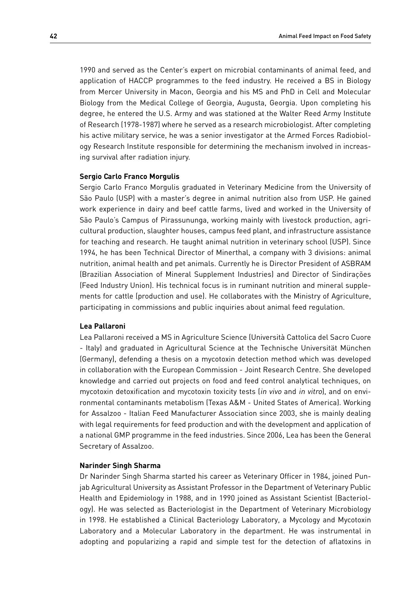1990 and served as the Center's expert on microbial contaminants of animal feed, and application of HACCP programmes to the feed industry. He received a BS in Biology from Mercer University in Macon, Georgia and his MS and PhD in Cell and Molecular Biology from the Medical College of Georgia, Augusta, Georgia. Upon completing his degree, he entered the U.S. Army and was stationed at the Walter Reed Army Institute of Research (1978-1987) where he served as a research microbiologist. After completing his active military service, he was a senior investigator at the Armed Forces Radiobiology Research Institute responsible for determining the mechanism involved in increasing survival after radiation injury.

#### **Sergio Carlo Franco Morgulis**

Sergio Carlo Franco Morgulis graduated in Veterinary Medicine from the University of São Paulo (USP) with a master's degree in animal nutrition also from USP. He gained work experience in dairy and beef cattle farms, lived and worked in the University of São Paulo's Campus of Pirassununga, working mainly with livestock production, agricultural production, slaughter houses, campus feed plant, and infrastructure assistance for teaching and research. He taught animal nutrition in veterinary school (USP). Since 1994, he has been Technical Director of Minerthal, a company with 3 divisions: animal nutrition, animal health and pet animals. Currently he is Director President of ASBRAM (Brazilian Association of Mineral Supplement Industries) and Director of Sindirações (Feed Industry Union). His technical focus is in ruminant nutrition and mineral supplements for cattle (production and use). He collaborates with the Ministry of Agriculture, participating in commissions and public inquiries about animal feed regulation.

## **Lea Pallaroni**

Lea Pallaroni received a MS in Agriculture Science (Università Cattolica del Sacro Cuore - Italy) and graduated in Agricultural Science at the Technische Universität München (Germany), defending a thesis on a mycotoxin detection method which was developed in collaboration with the European Commission - Joint Research Centre. She developed knowledge and carried out projects on food and feed control analytical techniques, on mycotoxin detoxification and mycotoxin toxicity tests (in vivo and in vitro), and on environmental contaminants metabolism (Texas A&M - United States of America). Working for Assalzoo - Italian Feed Manufacturer Association since 2003, she is mainly dealing with legal requirements for feed production and with the development and application of a national GMP programme in the feed industries. Since 2006, Lea has been the General Secretary of Assalzoo.

#### **Narinder Singh Sharma**

Dr Narinder Singh Sharma started his career as Veterinary Officer in 1984, joined Punjab Agricultural University as Assistant Professor in the Department of Veterinary Public Health and Epidemiology in 1988, and in 1990 joined as Assistant Scientist (Bacteriology). He was selected as Bacteriologist in the Department of Veterinary Microbiology in 1998. He established a Clinical Bacteriology Laboratory, a Mycology and Mycotoxin Laboratory and a Molecular Laboratory in the department. He was instrumental in adopting and popularizing a rapid and simple test for the detection of aflatoxins in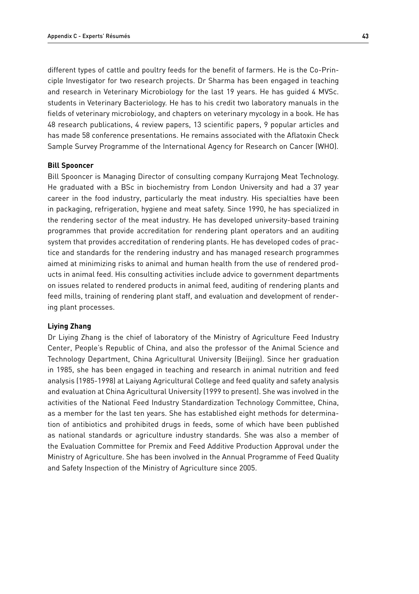different types of cattle and poultry feeds for the benefit of farmers. He is the Co-Principle Investigator for two research projects. Dr Sharma has been engaged in teaching and research in Veterinary Microbiology for the last 19 years. He has guided 4 MVSc. students in Veterinary Bacteriology. He has to his credit two laboratory manuals in the fields of veterinary microbiology, and chapters on veterinary mycology in a book. He has 48 research publications, 4 review papers, 13 scientific papers, 9 popular articles and has made 58 conference presentations. He remains associated with the Aflatoxin Check Sample Survey Programme of the International Agency for Research on Cancer (WHO).

#### **Bill Spooncer**

Bill Spooncer is Managing Director of consulting company Kurrajong Meat Technology. He graduated with a BSc in biochemistry from London University and had a 37 year career in the food industry, particularly the meat industry. His specialties have been in packaging, refrigeration, hygiene and meat safety. Since 1990, he has specialized in the rendering sector of the meat industry. He has developed university-based training programmes that provide accreditation for rendering plant operators and an auditing system that provides accreditation of rendering plants. He has developed codes of practice and standards for the rendering industry and has managed research programmes aimed at minimizing risks to animal and human health from the use of rendered products in animal feed. His consulting activities include advice to government departments on issues related to rendered products in animal feed, auditing of rendering plants and feed mills, training of rendering plant staff, and evaluation and development of rendering plant processes.

#### **Liying Zhang**

Dr Liying Zhang is the chief of laboratory of the Ministry of Agriculture Feed Industry Center, People's Republic of China, and also the professor of the Animal Science and Technology Department, China Agricultural University (Beijing). Since her graduation in 1985, she has been engaged in teaching and research in animal nutrition and feed analysis (1985-1998) at Laiyang Agricultural College and feed quality and safety analysis and evaluation at China Agricultural University (1999 to present). She was involved in the activities of the National Feed Industry Standardization Technology Committee, China, as a member for the last ten years. She has established eight methods for determination of antibiotics and prohibited drugs in feeds, some of which have been published as national standards or agriculture industry standards. She was also a member of the Evaluation Committee for Premix and Feed Additive Production Approval under the Ministry of Agriculture. She has been involved in the Annual Programme of Feed Quality and Safety Inspection of the Ministry of Agriculture since 2005.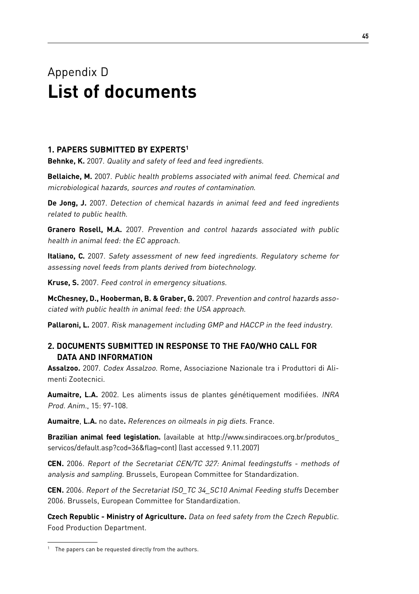## Appendix D **List of documents**

## **1. Papers submitted by experts1**

**Behnke, K.** 2007. Quality and safety of feed and feed ingredients.

**Bellaiche, M.** 2007. Public health problems associated with animal feed. Chemical and microbiological hazards, sources and routes of contamination.

**De Jong, J.** 2007. Detection of chemical hazards in animal feed and feed ingredients related to public health.

**Granero Rosell, M.A.** 2007. Prevention and control hazards associated with public health in animal feed: the EC approach.

**Italiano, C.** 2007. Safety assessment of new feed ingredients. Regulatory scheme for assessing novel feeds from plants derived from biotechnology.

**Kruse, S.** 2007. Feed control in emergency situations.

**McChesney, D., Hooberman, B. & Graber, G.** 2007. Prevention and control hazards associated with public health in animal feed: the USA approach.

**Pallaroni, L.** 2007. Risk management including GMP and HACCP in the feed industry.

## **2. Documents submitted in response to the FAO/WHO call for data and information**

**Assalzoo.** 2007. Codex Assalzoo. Rome, Associazione Nazionale tra i Produttori di Alimenti Zootecnici.

**Aumaitre, L.A.** 2002. Les aliments issus de plantes génétiquement modifiées. INRA Prod. Anim., 15: 97-108.

**Aumaitre**, **L.A.** no date**.** References on oilmeals in pig diets. France.

**Brazilian animal feed legislation.** (available at http://www.sindiracoes.org.br/produtos\_ servicos/default.asp?cod=36&flag=cont) (last accessed 9.11.2007)

**CEN.** 2006. Report of the Secretariat CEN/TC 327: Animal feedingstuffs - methods of analysis and sampling. Brussels, European Committee for Standardization.

**CEN.** 2006. Report of the Secretariat ISO\_TC 34\_SC10 Animal Feeding stuffs December 2006. Brussels, European Committee for Standardization.

**Czech Republic - Ministry of Agriculture.** Data on feed safety from the Czech Republic. Food Production Department.

 $1$  The papers can be requested directly from the authors.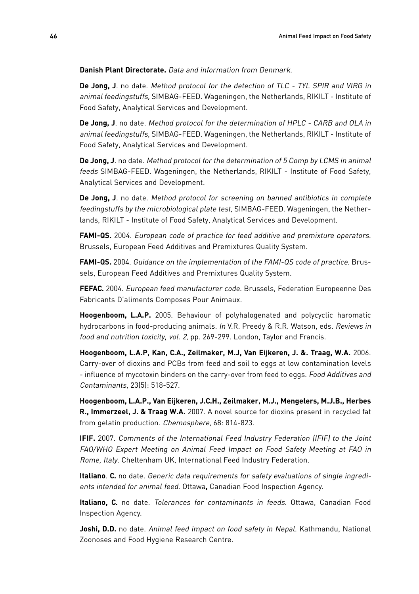**Danish Plant Directorate.** Data and information from Denmark.

**De Jong, J**. no date. Method protocol for the detection of TLC - TYL SPIR and VIRG in animal feedingstuffs, SIMBAG-FEED. Wageningen, the Netherlands, RIKILT - Institute of Food Safety, Analytical Services and Development.

**De Jong, J**. no date. Method protocol for the determination of HPLC - CARB and OLA in animal feedingstuffs, SIMBAG-FEED. Wageningen, the Netherlands, RIKILT - Institute of Food Safety, Analytical Services and Development.

**De Jong, J**. no date. Method protocol for the determination of 5 Comp by LCMS in animal feeds SIMBAG-FEED. Wageningen, the Netherlands, RIKILT - Institute of Food Safety, Analytical Services and Development.

**De Jong, J**. no date. Method protocol for screening on banned antibiotics in complete feedingstuffs by the microbiological plate test, SIMBAG-FEED. Wageningen, the Netherlands, RIKILT - Institute of Food Safety, Analytical Services and Development.

**FAMI-QS.** 2004. European code of practice for feed additive and premixture operators. Brussels, European Feed Additives and Premixtures Quality System.

**FAMI-QS.** 2004. Guidance on the implementation of the FAMI-QS code of practice. Brussels, European Feed Additives and Premixtures Quality System.

**FEFAC.** 2004. European feed manufacturer code. Brussels, Federation Europeenne Des Fabricants D'aliments Composes Pour Animaux.

**Hoogenboom, L.A.P.** 2005. Behaviour of polyhalogenated and polycyclic haromatic hydrocarbons in food-producing animals. In V.R. Preedy & R.R. Watson, eds. Reviews in food and nutrition toxicity, vol. 2, pp. 269-299. London, Taylor and Francis.

**Hoogenboom, L.A.P, Kan, C.A., Zeilmaker, M.J, Van Eijkeren, J. &. Traag, W.A.** 2006. Carry-over of dioxins and PCBs from feed and soil to eggs at low contamination levels - influence of mycotoxin binders on the carry-over from feed to eggs. Food Additives and Contaminants, 23(5): 518-527.

**Hoogenboom, L.A.P., Van Eijkeren, J.C.H., Zeilmaker, M.J., Mengelers, M.J.B., Herbes R., Immerzeel, J. & Traag W.A.** 2007. A novel source for dioxins present in recycled fat from gelatin production. Chemosphere, 68: 814-823.

**IFIF.** 2007. Comments of the International Feed Industry Federation (IFIF) to the Joint FAO/WHO Expert Meeting on Animal Feed Impact on Food Safety Meeting at FAO in Rome, Italy. Cheltenham UK, International Feed Industry Federation.

**Italiano**. **C.** no date. Generic data requirements for safety evaluations of single ingredients intended for animal feed. Ottawa**,** Canadian Food Inspection Agency.

**Italiano, C.** no date. Tolerances for contaminants in feeds. Ottawa, Canadian Food Inspection Agency.

**Joshi, D.D.** no date. Animal feed impact on food safety in Nepal. Kathmandu, National Zoonoses and Food Hygiene Research Centre.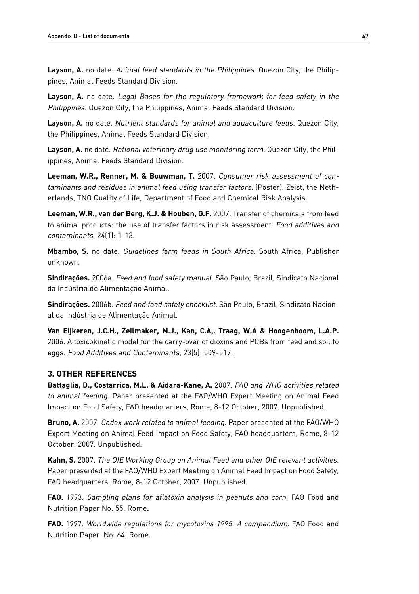Layson, A. no date. Animal feed standards in the Philippines. Quezon City, the Philippines, Animal Feeds Standard Division.

**Layson, A.** no date. Legal Bases for the regulatory framework for feed safety in the Philippines. Quezon City, the Philippines, Animal Feeds Standard Division.

**Layson, A.** no date. Nutrient standards for animal and aquaculture feeds. Quezon City, the Philippines, Animal Feeds Standard Division.

**Layson, A.** no date. Rational veterinary drug use monitoring form. Quezon City, the Philippines, Animal Feeds Standard Division.

**Leeman, W.R., Renner, M. & Bouwman, T.** 2007. Consumer risk assessment of contaminants and residues in animal feed using transfer factors. (Poster). Zeist, the Netherlands, TNO Quality of Life, Department of Food and Chemical Risk Analysis.

**Leeman, W.R., van der Berg, K.J. & Houben, G.F.** 2007. Transfer of chemicals from feed to animal products: the use of transfer factors in risk assessment. Food additives and contaminants, 24(1): 1-13.

**Mbambo, S.** no date. Guidelines farm feeds in South Africa. South Africa, Publisher unknown.

**Sindirações.** 2006a. Feed and food safety manual. São Paulo, Brazil, Sindicato Nacional da Indústria de Alimentação Animal.

**Sindirações.** 2006b. Feed and food safety checklist. São Paulo, Brazil, Sindicato Nacional da Indústria de Alimentação Animal.

**Van Eijkeren, J.C.H., Zeilmaker, M.J., Kan, C.A,. Traag, W.A & Hoogenboom, L.A.P.** 2006. A toxicokinetic model for the carry-over of dioxins and PCBs from feed and soil to eggs. Food Additives and Contaminants, 23(5): 509-517.

## **3. Other references**

**Battaglia, D., Costarrica, M.L. & Aidara-Kane, A.** 2007. FAO and WHO activities related to animal feeding. Paper presented at the FAO/WHO Expert Meeting on Animal Feed Impact on Food Safety, FAO headquarters, Rome, 8-12 October, 2007. Unpublished.

**Bruno, A.** 2007. Codex work related to animal feeding. Paper presented at the FAO/WHO Expert Meeting on Animal Feed Impact on Food Safety, FAO headquarters, Rome, 8-12 October, 2007. Unpublished.

**Kahn, S.** 2007. The OIE Working Group on Animal Feed and other OIE relevant activities. Paper presented at the FAO/WHO Expert Meeting on Animal Feed Impact on Food Safety, FAO headquarters, Rome, 8-12 October, 2007. Unpublished.

**FAO.** 1993. Sampling plans for aflatoxin analysis in peanuts and corn. FAO Food and Nutrition Paper No. 55. Rome**.**

**FAO.** 1997. Worldwide regulations for mycotoxins 1995. A compendium. FAO Food and Nutrition Paper No. 64. Rome.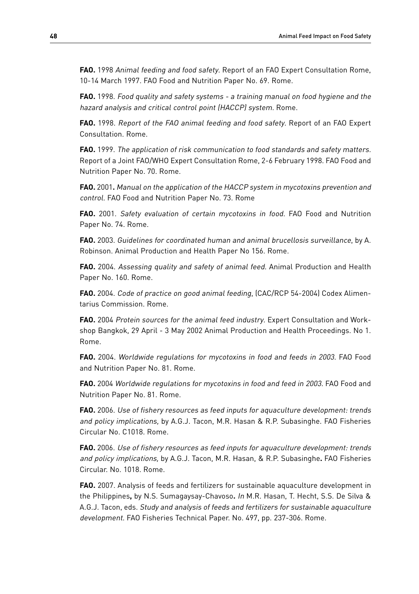**FAO.** 1998 Animal feeding and food safety. Report of an FAO Expert Consultation Rome, 10-14 March 1997. FAO Food and Nutrition Paper No. 69. Rome.

**FAO.** 1998. Food quality and safety systems - a training manual on food hygiene and the hazard analysis and critical control point (HACCP) system. Rome.

**FAO.** 1998. Report of the FAO animal feeding and food safety. Report of an FAO Expert Consultation. Rome.

**FAO.** 1999. The application of risk communication to food standards and safety matters. Report of a Joint FAO/WHO Expert Consultation Rome, 2-6 February 1998. FAO Food and Nutrition Paper No. 70. Rome.

**FAO.** 2001**.** Manual on the application of the HACCP system in mycotoxins prevention and control. FAO Food and Nutrition Paper No. 73. Rome

**FAO.** 2001. Safety evaluation of certain mycotoxins in food. FAO Food and Nutrition Paper No. 74. Rome.

**FAO.** 2003. Guidelines for coordinated human and animal brucellosis surveillance, by A. Robinson. Animal Production and Health Paper No 156. Rome.

**FAO.** 2004. Assessing quality and safety of animal feed. Animal Production and Health Paper No. 160. Rome.

**FAO.** 2004. Code of practice on good animal feeding, (CAC/RCP 54-2004) Codex Alimentarius Commission. Rome.

**FAO.** 2004 Protein sources for the animal feed industry. Expert Consultation and Workshop Bangkok, 29 April - 3 May 2002 Animal Production and Health Proceedings. No 1. Rome.

**FAO.** 2004. Worldwide regulations for mycotoxins in food and feeds in 2003. FAO Food and Nutrition Paper No. 81. Rome.

**FAO.** 2004 Worldwide regulations for mycotoxins in food and feed in 2003. FAO Food and Nutrition Paper No. 81. Rome.

**FAO.** 2006. Use of fishery resources as feed inputs for aquaculture development: trends and policy implications, by A.G.J. Tacon, M.R. Hasan & R.P. Subasinghe. FAO Fisheries Circular No. C1018. Rome.

**FAO.** 2006. Use of fishery resources as feed inputs for aquaculture development: trends and policy implications, by A.G.J. Tacon, M.R. Hasan, & R.P. Subasinghe**.** FAO Fisheries Circular. No. 1018. Rome.

**FAO.** 2007. Analysis of feeds and fertilizers for sustainable aquaculture development in the Philippines**,** by N.S. Sumagaysay-Chavoso**.** In M.R. Hasan, T. Hecht, S.S. De Silva & A.G.J. Tacon, eds. Study and analysis of feeds and fertilizers for sustainable aquaculture development. FAO Fisheries Technical Paper. No. 497, pp. 237-306. Rome.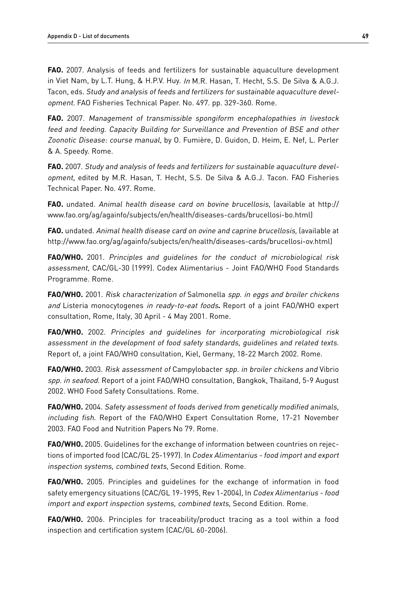**FAO.** 2007. Analysis of feeds and fertilizers for sustainable aquaculture development in Viet Nam, by L.T. Hung, & H.P.V. Huy. In M.R. Hasan, T. Hecht, S.S. De Silva & A.G.J. Tacon, eds. Study and analysis of feeds and fertilizers for sustainable aquaculture developmen<sup>t</sup>. FAO Fisheries Technical Paper. No. 497. pp. 329-360. Rome.

**FAO.** 2007. Management of transmissible spongiform encephalopathies in livestock feed and feeding. Capacity Building for Surveillance and Prevention of BSE and other Zoonotic Disease: course manual, by O. Fumière, D. Guidon, D. Heim, E. Nef, L. Perler & A. Speedy. Rome.

**FAO.** 2007. Study and analysis of feeds and fertilizers for sustainable aquaculture developmen<sup>t</sup>, edited by M.R. Hasan, T. Hecht, S.S. De Silva & A.G.J. Tacon. FAO Fisheries Technical Paper. No. 497. Rome.

**FAO.** undated. Animal health disease card on bovine brucellosis, (available at http:// www.fao.org/ag/againfo/subjects/en/health/diseases-cards/brucellosi-bo.html)

**FAO.** undated. Animal health disease card on ovine and caprine brucellosis, (available at http://www.fao.org/ag/againfo/subjects/en/health/diseases-cards/brucellosi-ov.html)

**FAO/WHO.** 2001. Principles and guidelines for the conduct of microbiological risk assessment, CAC/GL-30 (1999). Codex Alimentarius - Joint FAO/WHO Food Standards Programme. Rome.

**FAO/WHO.** 2001. Risk characterization of Salmonella spp. in eggs and broiler chickens and Listeria monocytogenes in ready-to-eat foods**.** Report of a joint FAO/WHO expert consultation, Rome, Italy, 30 April - 4 May 2001. Rome.

**FAO/WHO.** 2002. Principles and guidelines for incorporating microbiological risk assessment in the development of food safety standards, guidelines and related texts. Report of, a joint FAO/WHO consultation, Kiel, Germany, 18-22 March 2002. Rome.

**FAO/WHO.** 2003. Risk assessment of Campylobacter spp. in broiler chickens and Vibrio spp. in seafood. Report of a joint FAO/WHO consultation, Bangkok, Thailand, 5-9 August 2002. WHO Food Safety Consultations. Rome.

**FAO/WHO.** 2004. Safety assessment of foods derived from genetically modified animals, including fish. Report of the FAO/WHO Expert Consultation Rome, 17-21 November 2003. FAO Food and Nutrition Papers No 79. Rome.

**FAO/WHO.** 2005. Guidelines for the exchange of information between countries on rejections of imported food (CAC/GL 25-1997). In Codex Alimentarius - food import and export inspection systems, combined texts, Second Edition. Rome.

**FAO/WHO.** 2005. Principles and guidelines for the exchange of information in food safety emergency situations (CAC/GL 19-1995, Rev 1-2004), In Codex Alimentarius - food import and export inspection systems, combined texts, Second Edition. Rome.

**FAO/WHO.** 2006. Principles for traceability/product tracing as a tool within a food inspection and certification system (CAC/GL 60-2006).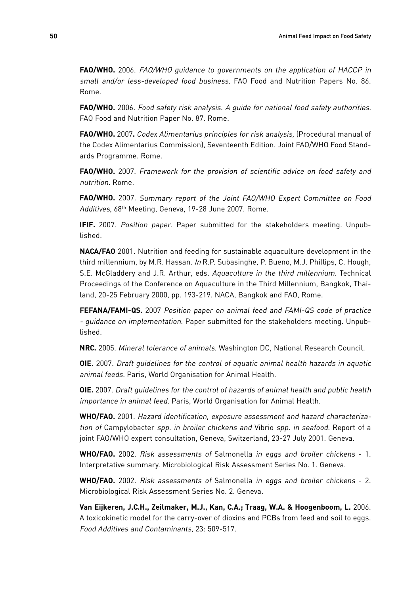**FAO/WHO.** 2006. FAO/WHO guidance to governments on the application of HACCP in small and/or less-developed food business. FAO Food and Nutrition Papers No. 86. Rome.

**FAO/WHO.** 2006. Food safety risk analysis. A guide for national food safety authorities. FAO Food and Nutrition Paper No. 87. Rome.

**FAO/WHO.** 2007**.** Codex Alimentarius principles for risk analysis, (Procedural manual of the Codex Alimentarius Commission), Seventeenth Edition. Joint FAO/WHO Food Standards Programme. Rome.

**FAO/WHO.** 2007. Framework for the provision of scientific advice on food safety and nutrition. Rome.

**FAO/WHO.** 2007. Summary report of the Joint FAO/WHO Expert Committee on Food Additives, 68th Meeting, Geneva, 19-28 June 2007. Rome.

**IFIF.** 2007. Position paper. Paper submitted for the stakeholders meeting. Unpublished.

**NACA/FAO** 2001. Nutrition and feeding for sustainable aquaculture development in the third millennium, by M.R. Hassan. In R.P. Subasinghe, P. Bueno, M.J. Phillips, C. Hough, S.E. McGladdery and J.R. Arthur, eds. Aquaculture in the third millennium. Technical Proceedings of the Conference on Aquaculture in the Third Millennium, Bangkok, Thailand, 20-25 February 2000, pp. 193-219. NACA, Bangkok and FAO, Rome.

**FEFANA/FAMI-QS.** 2007 Position paper on animal feed and FAMI-QS code of practice - guidance on implementation. Paper submitted for the stakeholders meeting. Unpublished.

**NRC.** 2005. Mineral tolerance of animals. Washington DC, National Research Council.

**OIE.** 2007. Draft guidelines for the control of aquatic animal health hazards in aquatic animal feeds. Paris, World Organisation for Animal Health.

**OIE.** 2007. Draft guidelines for the control of hazards of animal health and public health importance in animal feed. Paris, World Organisation for Animal Health.

**WHO/FAO.** 2001. Hazard identification, exposure assessment and hazard characterization of Campylobacter spp. in broiler chickens and Vibrio spp. in seafood. Report of a joint FAO/WHO expert consultation, Geneva, Switzerland, 23-27 July 2001. Geneva.

**WHO/FAO.** 2002. Risk assessments of Salmonella in eggs and broiler chickens - 1. Interpretative summary. Microbiological Risk Assessment Series No. 1. Geneva.

**WHO/FAO.** 2002. Risk assessments of Salmonella in eggs and broiler chickens - 2. Microbiological Risk Assessment Series No. 2. Geneva.

**Van Eijkeren, J.C.H., Zeilmaker, M.J., Kan, C.A.; Traag, W.A. & Hoogenboom, L.** 2006. A toxicokinetic model for the carry-over of dioxins and PCBs from feed and soil to eggs. Food Additives and Contaminants, 23: 509-517.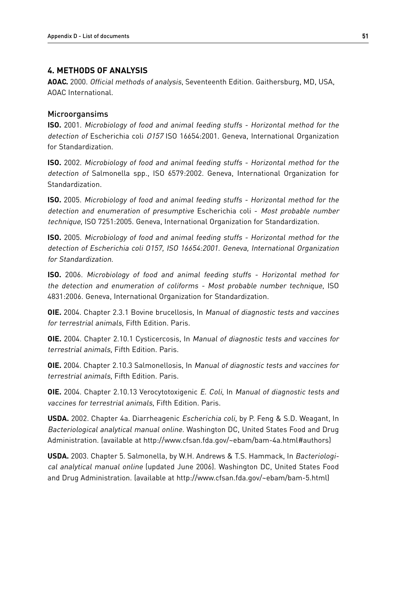## **4. Methods of Analysis**

**AOAC.** 2000. Official methods of analysis, Seventeenth Edition. Gaithersburg, MD, USA, AOAC International.

#### Microorgansims

**ISO.** 2001. Microbiology of food and animal feeding stuffs - Horizontal method for the detection of Escherichia coli 0157 ISO 16654:2001. Geneva, International Organization for Standardization.

**ISO.** 2002. Microbiology of food and animal feeding stuffs - Horizontal method for the detection of Salmonella spp., ISO 6579:2002. Geneva, International Organization for Standardization.

**ISO.** 2005. Microbiology of food and animal feeding stuffs - Horizontal method for the detection and enumeration of presumptive Escherichia coli - Most probable number technique, ISO 7251:2005. Geneva, International Organization for Standardization.

**ISO.** 2005. Microbiology of food and animal feeding stuffs - Horizontal method for the detection of Escherichia coli O157, ISO 16654:2001. Geneva, International Organization for Standardization.

**ISO.** 2006. Microbiology of food and animal feeding stuffs - Horizontal method for the detection and enumeration of coliforms - Most probable number technique, ISO 4831:2006. Geneva, International Organization for Standardization.

**OIE.** 2004. Chapter 2.3.1 Bovine brucellosis, In Manual of diagnostic tests and vaccines for terrestrial animals, Fifth Edition. Paris.

**OIE.** 2004. Chapter 2.10.1 Cysticercosis, In Manual of diagnostic tests and vaccines for terrestrial animals, Fifth Edition. Paris.

**OIE.** 2004. Chapter 2.10.3 Salmonellosis, In Manual of diagnostic tests and vaccines for terrestrial animals, Fifth Edition. Paris.

**OIE.** 2004. Chapter 2.10.13 Verocytotoxigenic E. Coli, In Manual of diagnostic tests and vaccines for terrestrial animals, Fifth Edition. Paris.

**USDA.** 2002. Chapter 4a. Diarrheagenic Escherichia coli, by P. Feng & S.D. Weagant, In Bacteriological analytical manual online. Washington DC, United States Food and Drug Administration. (available at http://www.cfsan.fda.gov/~ebam/bam-4a.html#authors)

**USDA.** 2003. Chapter 5. Salmonella, by W.H. Andrews & T.S. Hammack, In Bacteriological analytical manual online (updated June 2006). Washington DC, United States Food and Drug Administration. (available at http://www.cfsan.fda.gov/~ebam/bam-5.html)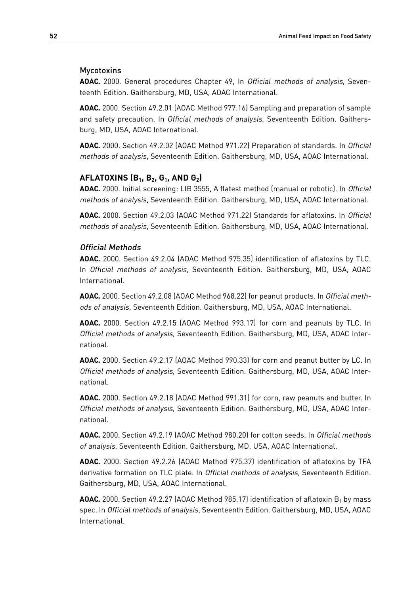## Mycotoxins

**AOAC.** 2000. General procedures Chapter 49, In Official methods of analysis, Seventeenth Edition. Gaithersburg, MD, USA, AOAC International.

**AOAC.** 2000. Section 49.2.01 (AOAC Method 977.16) Sampling and preparation of sample and safety precaution. In Official methods of analysis, Seventeenth Edition. Gaithersburg, MD, USA, AOAC International.

**AOAC.** 2000. Section 49.2.02 (AOAC Method 971.22) Preparation of standards. In Official methods of analysis, Seventeenth Edition. Gaithersburg, MD, USA, AOAC International.

## **Aflatoxins (B1, B2, G1, and G2)**

**AOAC.** 2000. Initial screening: LIB 3555, A flatest method (manual or robotic). In Official methods of analysis, Seventeenth Edition. Gaithersburg, MD, USA, AOAC International.

**AOAC.** 2000. Section 49.2.03 (AOAC Method 971.22) Standards for aflatoxins. In Official methods of analysis, Seventeenth Edition. Gaithersburg, MD, USA, AOAC International.

#### Official Methods

**AOAC.** 2000. Section 49.2.04 (AOAC Method 975.35) identification of aflatoxins by TLC. In Official methods of analysis, Seventeenth Edition. Gaithersburg, MD, USA, AOAC International.

**AOAC.** 2000. Section 49.2.08 (AOAC Method 968.22) for peanut products. In Official methods of analysis, Seventeenth Edition. Gaithersburg, MD, USA, AOAC International.

**AOAC.** 2000. Section 49.2.15 (AOAC Method 993.17) for corn and peanuts by TLC. In Official methods of analysis, Seventeenth Edition. Gaithersburg, MD, USA, AOAC International.

**AOAC.** 2000. Section 49.2.17 (AOAC Method 990.33) for corn and peanut butter by LC. In Official methods of analysis, Seventeenth Edition. Gaithersburg, MD, USA, AOAC International.

**AOAC.** 2000. Section 49.2.18 (AOAC Method 991.31) for corn, raw peanuts and butter. In Official methods of analysis, Seventeenth Edition. Gaithersburg, MD, USA, AOAC International.

**AOAC.** 2000. Section 49.2.19 (AOAC Method 980.20) for cotton seeds. In Official methods of analysis, Seventeenth Edition. Gaithersburg, MD, USA, AOAC International.

**AOAC.** 2000. Section 49.2.26 (AOAC Method 975.37) identification of aflatoxins by TFA derivative formation on TLC plate. In Official methods of analysis, Seventeenth Edition. Gaithersburg, MD, USA, AOAC International.

**AOAC.** 2000. Section 49.2.27 (AOAC Method 985.17) identification of aflatoxin B<sub>1</sub> by mass spec. In Official methods of analysis, Seventeenth Edition. Gaithersburg, MD, USA, AOAC International.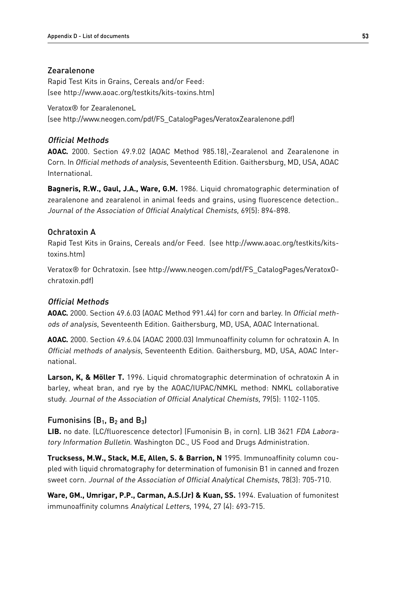## Zearalenone

Rapid Test Kits in Grains, Cereals and/or Feed: (see http://www.aoac.org/testkits/kits-toxins.htm)

Veratox® for ZearalenoneL (see http://www.neogen.com/pdf/FS\_CatalogPages/VeratoxZearalenone.pdf)

## Official Methods

**AOAC.** 2000. Section 49.9.02 (AOAC Method 985.18),-Zearalenol and Zearalenone in Corn. In Official methods of analysis, Seventeenth Edition. Gaithersburg, MD, USA, AOAC International.

**Bagneris, R.W., Gaul, J.A., Ware, G.M.** 1986. Liquid chromatographic determination of zearalenone and zearalenol in animal feeds and grains, using fluorescence detection.. Journal of the Association of Official Analytical Chemists, 69(5): 894-898.

## Ochratoxin A

Rapid Test Kits in Grains, Cereals and/or Feed. (see http://www.aoac.org/testkits/kitstoxins.htm)

Veratox® for Ochratoxin. (see http://www.neogen.com/pdf/FS\_CatalogPages/VeratoxOchratoxin.pdf)

## Official Methods

**AOAC.** 2000. Section 49.6.03 (AOAC Method 991.44) for corn and barley. In Official methods of analysis, Seventeenth Edition. Gaithersburg, MD, USA, AOAC International.

**AOAC.** 2000. Section 49.6.04 (AOAC 2000.03) Immunoaffinity column for ochratoxin A. In Official methods of analysis, Seventeenth Edition. Gaithersburg, MD, USA, AOAC International.

**Larson, K, & Möller T.** 1996. Liquid chromatographic determination of ochratoxin A in barley, wheat bran, and rye by the AOAC/IUPAC/NMKL method: NMKL collaborative study. Journal of the Association of Official Analytical Chemists, 79(5): 1102-1105.

## Fumonisins  $(B_1, B_2, A_3)$

**LIB.** no date. (LC/fluorescence detector) (Fumonisin  $B_1$  in corn). LIB 3621 FDA Laboratory Information Bulletin. Washington DC., US Food and Drugs Administration.

**Trucksess, M.W., Stack, M.E, Allen, S. & Barrion, N** 1995. Immunoaffinity column coupled with liquid chromatography for determination of fumonisin B1 in canned and frozen sweet corn. Journal of the Association of Official Analytical Chemists, 78(3): 705-710.

**Ware, GM., Umrigar, P.P., Carman, A.S.(Jr) & Kuan, SS.** 1994. Evaluation of fumonitest immunoaffinity columns Analytical Letters, 1994, 27 (4): 693-715.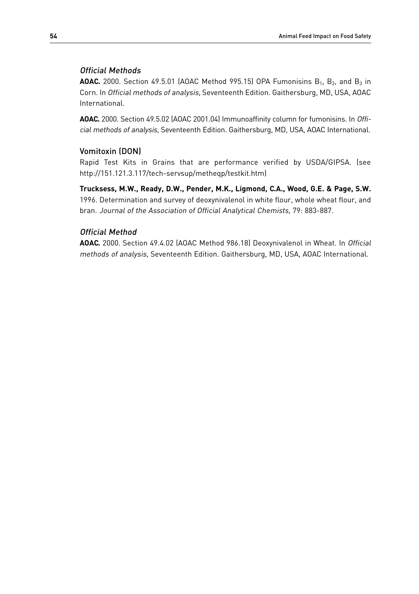## Official Methods

**AOAC.** 2000. Section 49.5.01 (AOAC Method 995.15) OPA Fumonisins  $B_1$ ,  $B_2$ , and  $B_3$  in Corn. In Official methods of analysis, Seventeenth Edition. Gaithersburg, MD, USA, AOAC International.

**AOAC.** 2000. Section 49.5.02 (AOAC 2001.04) Immunoaffinity column for fumonisins. In Official methods of analysis, Seventeenth Edition. Gaithersburg, MD, USA, AOAC International.

## Vomitoxin (DON)

Rapid Test Kits in Grains that are performance verified by USDA/GIPSA. (see http://151.121.3.117/tech-servsup/metheqp/testkit.htm)

**Trucksess, M.W., Ready, D.W., Pender, M.K., Ligmond, C.A., Wood, G.E. & Page, S.W.** 1996. Determination and survey of deoxynivalenol in white flour, whole wheat flour, and bran. Journal of the Association of Official Analytical Chemists, 79: 883-887.

## Official Method

**AOAC.** 2000. Section 49.4.02 (AOAC Method 986.18) Deoxynivalenol in Wheat. In Official methods of analysis, Seventeenth Edition. Gaithersburg, MD, USA, AOAC International.